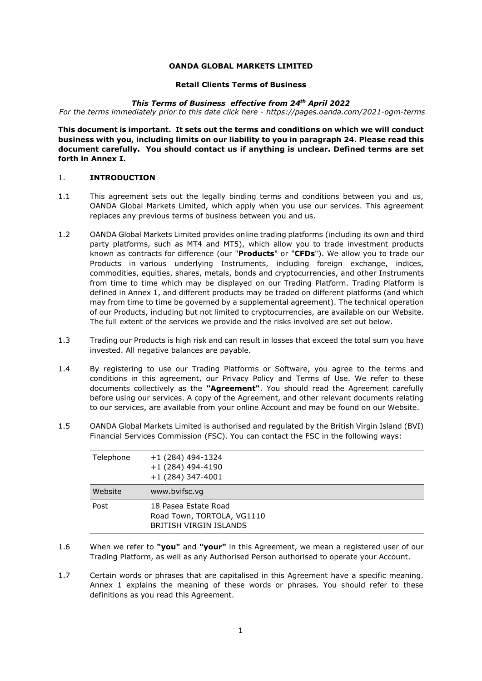#### **OANDA GLOBAL MARKETS LIMITED**

#### **Retail Clients Terms of Business**

#### *This Terms of Business effective from 24th April 2022*

*For the terms immediately prior to this date click here - https://pages.oanda.com/2021-ogm-terms*

**This document is important. It sets out the terms and conditions on which we will conduct business with you, including limits on our liability to you in paragraph [24.](#page-18-0) Please read this document carefully. You should contact us if anything is unclear. Defined terms are set forth in Annex I.**

## 1. **INTRODUCTION**

- 1.1 This agreement sets out the legally binding terms and conditions between you and us, OANDA Global Markets Limited, which apply when you use our services. This agreement replaces any previous terms of business between you and us.
- 1.2 OANDA Global Markets Limited provides online trading platforms (including its own and third party platforms, such as MT4 and MT5), which allow you to trade investment products known as contracts for difference (our "**Products**" or "**CFDs**"). We allow you to trade our Products in various underlying Instruments, including foreign exchange, indices, commodities, equities, shares, metals, bonds and cryptocurrencies, and other Instruments from time to time which may be displayed on our Trading Platform. Trading Platform is defined in Annex 1, and different products may be traded on different platforms (and which may from time to time be governed by a supplemental agreement). The technical operation of our Products, including but not limited to cryptocurrencies, are available on our Website. The full extent of the services we provide and the risks involved are set out below.
- 1.3 Trading our Products is high risk and can result in losses that exceed the total sum you have invested. All negative balances are payable.
- 1.4 By registering to use our Trading Platforms or Software, you agree to the terms and conditions in this agreement, our Privacy Policy and Terms of Use. We refer to these documents collectively as the **"Agreement"**. You should read the Agreement carefully before using our services. A copy of the Agreement, and other relevant documents relating to our services, are available from your online Account and may be found on our Website.
- 1.5 OANDA Global Markets Limited is authorised and regulated by the British Virgin Island (BVI) Financial Services Commission (FSC). You can contact the FSC in the following ways:

| Telephone | $+1(284)$ 494-1324<br>$+1(284)$ 494-4190<br>$+1(284)$ 347-4001                      |
|-----------|-------------------------------------------------------------------------------------|
| Website   | www.bvifsc.vg                                                                       |
| Post      | 18 Pasea Estate Road<br>Road Town, TORTOLA, VG1110<br><b>BRITISH VIRGIN ISLANDS</b> |

- 1.6 When we refer to **"you"** and **"your"** in this Agreement, we mean a registered user of our Trading Platform, as well as any Authorised Person authorised to operate your Account.
- 1.7 Certain words or phrases that are capitalised in this Agreement have a specific meaning. Annex 1 explains the meaning of these words or phrases. You should refer to these definitions as you read this Agreement.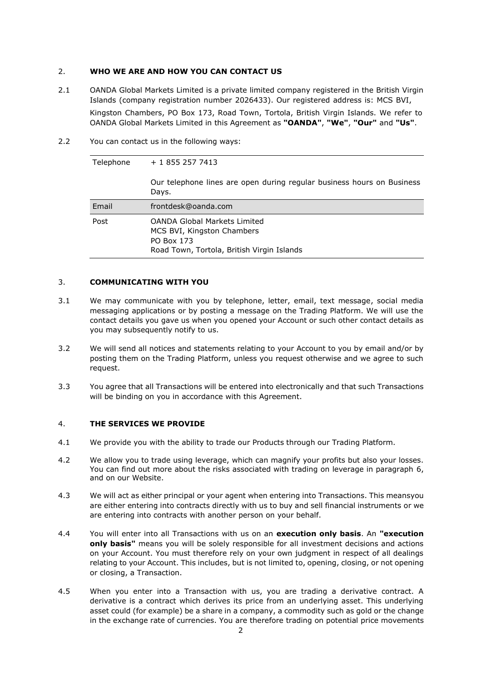### <span id="page-1-0"></span>2. **WHO WE ARE AND HOW YOU CAN CONTACT US**

- 2.1 OANDA Global Markets Limited is a private limited company registered in the British Virgin Islands (company registration number 2026433). Our registered address is: MCS BVI, Kingston Chambers, PO Box 173, Road Town, Tortola, British Virgin Islands. We refer to OANDA Global Markets Limited in this Agreement as **"OANDA"**, **"We"**, **"Our"** and **"Us"**.
- 2.2 You can contact us in the following ways:

Telephone + 1 855 257 7413

| Our telephone lines are open during regular business hours on Business<br>Davs. |
|---------------------------------------------------------------------------------|
| frontdesk@oanda.com                                                             |
| OANDA Clabal Marketa Limited                                                    |

| Post | <b>OANDA Global Markets Limited</b>        |  |
|------|--------------------------------------------|--|
|      | MCS BVI, Kingston Chambers                 |  |
|      | PO Box 173                                 |  |
|      | Road Town, Tortola, British Virgin Islands |  |
|      |                                            |  |

## 3. **COMMUNICATING WITH YOU**

Email

- 3.1 We may communicate with you by telephone, letter, email, text message, social media messaging applications or by posting a message on the Trading Platform. We will use the contact details you gave us when you opened your Account or such other contact details as you may subsequently notify to us.
- 3.2 We will send all notices and statements relating to your Account to you by email and/or by posting them on the Trading Platform, unless you request otherwise and we agree to such request.
- 3.3 You agree that all Transactions will be entered into electronically and that such Transactions will be binding on you in accordance with this Agreement.

#### 4. **THE SERVICES WE PROVIDE**

- 4.1 We provide you with the ability to trade our Products through our Trading Platform.
- 4.2 We allow you to trade using leverage, which can magnify your profits but also your losses. You can find out more about the risks associated with trading on leverage in paragraph [6,](#page-2-0) and on our Website.
- 4.3 We will act as either principal or your agent when entering into Transactions. This meansyou are either entering into contracts directly with us to buy and sell financial instruments or we are entering into contracts with another person on your behalf.
- 4.4 You will enter into all Transactions with us on an **execution only basis**. An **"execution only basis"** means you will be solely responsible for all investment decisions and actions on your Account. You must therefore rely on your own judgment in respect of all dealings relating to your Account. This includes, but is not limited to, opening, closing, or not opening or closing, a Transaction.
- 4.5 When you enter into a Transaction with us, you are trading a derivative contract. A derivative is a contract which derives its price from an underlying asset. This underlying asset could (for example) be a share in a company, a commodity such as gold or the change in the exchange rate of currencies. You are therefore trading on potential price movements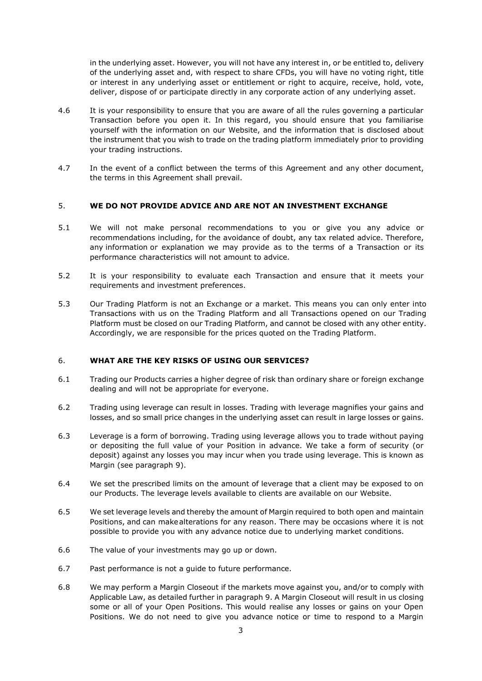in the underlying asset. However, you will not have any interest in, or be entitled to, delivery of the underlying asset and, with respect to share CFDs, you will have no voting right, title or interest in any underlying asset or entitlement or right to acquire, receive, hold, vote, deliver, dispose of or participate directly in any corporate action of any underlying asset.

- 4.6 It is your responsibility to ensure that you are aware of all the rules governing a particular Transaction before you open it. In this regard, you should ensure that you familiarise yourself with the information on our Website, and the information that is disclosed about the instrument that you wish to trade on the trading platform immediately prior to providing your trading instructions.
- 4.7 In the event of a conflict between the terms of this Agreement and any other document, the terms in this Agreement shall prevail.

## 5. **WE DO NOT PROVIDE ADVICE AND ARE NOT AN INVESTMENT EXCHANGE**

- 5.1 We will not make personal recommendations to you or give you any advice or recommendations including, for the avoidance of doubt, any tax related advice. Therefore, any information or explanation we may provide as to the terms of a Transaction or its performance characteristics will not amount to advice.
- 5.2 It is your responsibility to evaluate each Transaction and ensure that it meets your requirements and investment preferences.
- 5.3 Our Trading Platform is not an Exchange or a market. This means you can only enter into Transactions with us on the Trading Platform and all Transactions opened on our Trading Platform must be closed on our Trading Platform, and cannot be closed with any other entity. Accordingly, we are responsible for the prices quoted on the Trading Platform.

### <span id="page-2-0"></span>6. **WHAT ARE THE KEY RISKS OF USING OUR SERVICES?**

- 6.1 Trading our Products carries a higher degree of risk than ordinary share or foreign exchange dealing and will not be appropriate for everyone.
- 6.2 Trading using leverage can result in losses. Trading with leverage magnifies your gains and losses, and so small price changes in the underlying asset can result in large losses or gains.
- 6.3 Leverage is a form of borrowing. Trading using leverage allows you to trade without paying or depositing the full value of your Position in advance. We take a form of security (or deposit) against any losses you may incur when you trade using leverage. This is known as Margin (see paragraph 9).
- 6.4 We set the prescribed limits on the amount of leverage that a client may be exposed to on our Products. The leverage levels available to clients are available on our Website.
- 6.5 We set leverage levels and thereby the amount of Margin required to both open and maintain Positions, and can make alterations for any reason. There may be occasions where it is not possible to provide you with any advance notice due to underlying market conditions.
- 6.6 The value of your investments may go up or down.
- 6.7 Past performance is not a guide to future performance.
- 6.8 We may perform a Margin Closeout if the markets move against you, and/or to comply with Applicable Law, as detailed further in paragraph 9. A Margin Closeout will result in us closing some or all of your Open Positions. This would realise any losses or gains on your Open Positions. We do not need to give you advance notice or time to respond to a Margin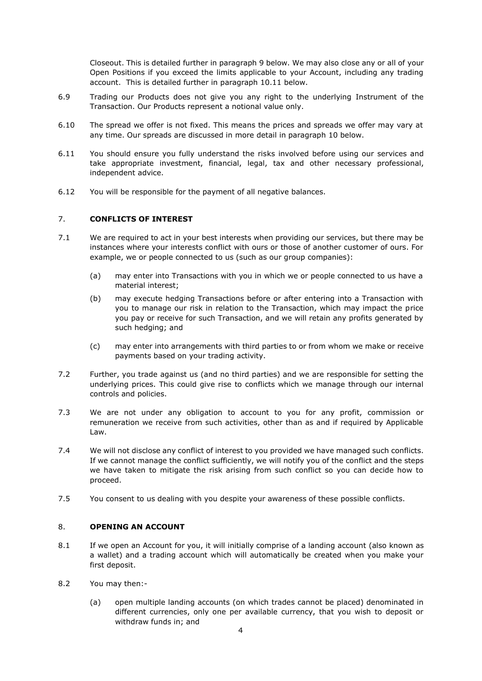Closeout. This is detailed further in paragraph [9](#page-5-0) below. We may also close any or all of your Open Positions if you exceed the limits applicable to your Account, including any trading account. This is detailed further in paragraph 10.11 below.

- 6.9 Trading our Products does not give you any right to the underlying Instrument of the Transaction. Our Products represent a notional value only.
- 6.10 The spread we offer is not fixed. This means the prices and spreads we offer may vary at any time. Our spreads are discussed in more detail in paragraph 10 below.
- 6.11 You should ensure you fully understand the risks involved before using our services and take appropriate investment, financial, legal, tax and other necessary professional, independent advice.
- 6.12 You will be responsible for the payment of all negative balances.

## 7. **CONFLICTS OF INTEREST**

- 7.1 We are required to act in your best interests when providing our services, but there may be instances where your interests conflict with ours or those of another customer of ours. For example, we or people connected to us (such as our group companies):
	- (a) may enter into Transactions with you in which we or people connected to us have a material interest;
	- (b) may execute hedging Transactions before or after entering into a Transaction with you to manage our risk in relation to the Transaction, which may impact the price you pay or receive for such Transaction, and we will retain any profits generated by such hedging; and
	- (c) may enter into arrangements with third parties to or from whom we make or receive payments based on your trading activity.
- 7.2 Further, you trade against us (and no third parties) and we are responsible for setting the underlying prices. This could give rise to conflicts which we manage through our internal controls and policies.
- 7.3 We are not under any obligation to account to you for any profit, commission or remuneration we receive from such activities, other than as and if required by Applicable Law.
- 7.4 We will not disclose any conflict of interest to you provided we have managed such conflicts. If we cannot manage the conflict sufficiently, we will notify you of the conflict and the steps we have taken to mitigate the risk arising from such conflict so you can decide how to proceed.
- 7.5 You consent to us dealing with you despite your awareness of these possible conflicts.

### 8. **OPENING AN ACCOUNT**

- 8.1 If we open an Account for you, it will initially comprise of a landing account (also known as a wallet) and a trading account which will automatically be created when you make your first deposit.
- 8.2 You may then:-
	- (a) open multiple landing accounts (on which trades cannot be placed) denominated in different currencies, only one per available currency, that you wish to deposit or withdraw funds in; and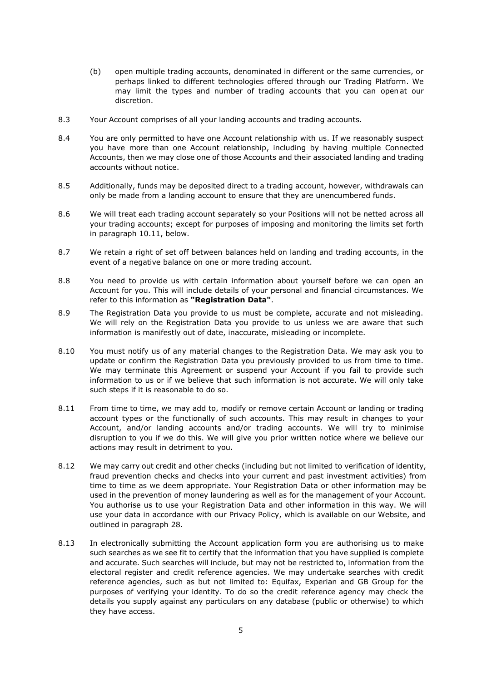- (b) open multiple trading accounts, denominated in different or the same currencies, or perhaps linked to different technologies offered through our Trading Platform. We may limit the types and number of trading accounts that you can open at our discretion.
- 8.3 Your Account comprises of all your landing accounts and trading accounts.
- 8.4 You are only permitted to have one Account relationship with us. If we reasonably suspect you have more than one Account relationship, including by having multiple Connected Accounts, then we may close one of those Accounts and their associated landing and trading accounts without notice.
- 8.5 Additionally, funds may be deposited direct to a trading account, however, withdrawals can only be made from a landing account to ensure that they are unencumbered funds.
- 8.6 We will treat each trading account separately so your Positions will not be netted across all your trading accounts; except for purposes of imposing and monitoring the limits set forth in paragraph 10.11, below.
- 8.7 We retain a right of set off between balances held on landing and trading accounts, in the event of a negative balance on one or more trading account.
- 8.8 You need to provide us with certain information about yourself before we can open an Account for you. This will include details of your personal and financial circumstances. We refer to this information as **"Registration Data"**.
- 8.9 The Registration Data you provide to us must be complete, accurate and not misleading. We will rely on the Registration Data you provide to us unless we are aware that such information is manifestly out of date, inaccurate, misleading or incomplete.
- 8.10 You must notify us of any material changes to the Registration Data. We may ask you to update or confirm the Registration Data you previously provided to us from time to time. We may terminate this Agreement or suspend your Account if you fail to provide such information to us or if we believe that such information is not accurate. We will only take such steps if it is reasonable to do so.
- 8.11 From time to time, we may add to, modify or remove certain Account or landing or trading account types or the functionally of such accounts. This may result in changes to your Account, and/or landing accounts and/or trading accounts. We will try to minimise disruption to you if we do this. We will give you prior written notice where we believe our actions may result in detriment to you.
- 8.12 We may carry out credit and other checks (including but not limited to verification of identity, fraud prevention checks and checks into your current and past investment activities) from time to time as we deem appropriate. Your Registration Data or other information may be used in the prevention of money laundering as well as for the management of your Account. You authorise us to use your Registration Data and other information in this way. We will use your data in accordance with our Privacy Policy, which is available on our Website, and outlined in paragraph 28.
- 8.13 In electronically submitting the Account application form you are authorising us to make such searches as we see fit to certify that the information that you have supplied is complete and accurate. Such searches will include, but may not be restricted to, information from the electoral register and credit reference agencies. We may undertake searches with credit reference agencies, such as but not limited to: Equifax, Experian and GB Group for the purposes of verifying your identity. To do so the credit reference agency may check the details you supply against any particulars on any database (public or otherwise) to which they have access.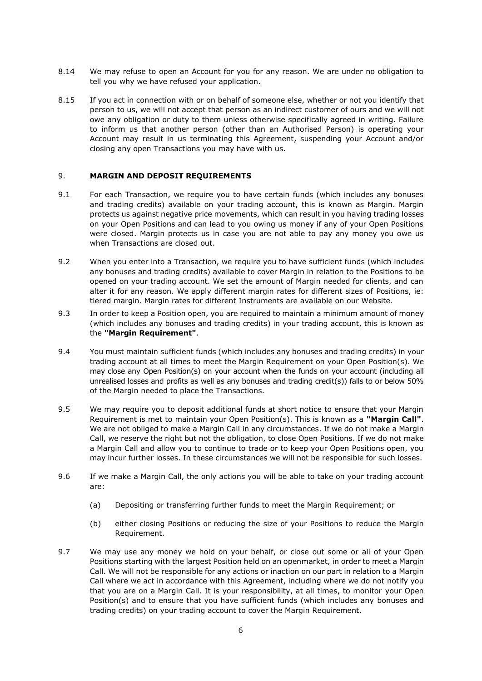- 8.14 We may refuse to open an Account for you for any reason. We are under no obligation to tell you why we have refused your application.
- 8.15 If you act in connection with or on behalf of someone else, whether or not you identify that person to us, we will not accept that person as an indirect customer of ours and we will not owe any obligation or duty to them unless otherwise specifically agreed in writing. Failure to inform us that another person (other than an Authorised Person) is operating your Account may result in us terminating this Agreement, suspending your Account and/or closing any open Transactions you may have with us.

### <span id="page-5-0"></span>9. **MARGIN AND DEPOSIT REQUIREMENTS**

- 9.1 For each Transaction, we require you to have certain funds (which includes any bonuses and trading credits) available on your trading account, this is known as Margin. Margin protects us against negative price movements, which can result in you having trading losses on your Open Positions and can lead to you owing us money if any of your Open Positions were closed. Margin protects us in case you are not able to pay any money you owe us when Transactions are closed out.
- 9.2 When you enter into a Transaction, we require you to have sufficient funds (which includes any bonuses and trading credits) available to cover Margin in relation to the Positions to be opened on your trading account. We set the amount of Margin needed for clients, and can alter it for any reason. We apply different margin rates for different sizes of Positions, ie: tiered margin. Margin rates for different Instruments are available on our Website.
- 9.3 In order to keep a Position open, you are required to maintain a minimum amount of money (which includes any bonuses and trading credits) in your trading account, this is known as the **"Margin Requirement"**.
- 9.4 You must maintain sufficient funds (which includes any bonuses and trading credits) in your trading account at all times to meet the Margin Requirement on your Open Position(s). We may close any Open Position(s) on your account when the funds on your account (including all unrealised losses and profits as well as any bonuses and trading credit(s)) falls to or below 50% of the Margin needed to place the Transactions.
- 9.5 We may require you to deposit additional funds at short notice to ensure that your Margin Requirement is met to maintain your Open Position(s). This is known as a **"Margin Call"**. We are not obliged to make a Margin Call in any circumstances. If we do not make a Margin Call, we reserve the right but not the obligation, to close Open Positions. If we do not make a Margin Call and allow you to continue to trade or to keep your Open Positions open, you may incur further losses. In these circumstances we will not be responsible for such losses.
- 9.6 If we make a Margin Call, the only actions you will be able to take on your trading account are:
	- (a) Depositing or transferring further funds to meet the Margin Requirement; or
	- (b) either closing Positions or reducing the size of your Positions to reduce the Margin Requirement.
- 9.7 We may use any money we hold on your behalf, or close out some or all of your Open Positions starting with the largest Position held on an openmarket, in order to meet a Margin Call. We will not be responsible for any actions or inaction on our part in relation to a Margin Call where we act in accordance with this Agreement, including where we do not notify you that you are on a Margin Call. It is your responsibility, at all times, to monitor your Open Position(s) and to ensure that you have sufficient funds (which includes any bonuses and trading credits) on your trading account to cover the Margin Requirement.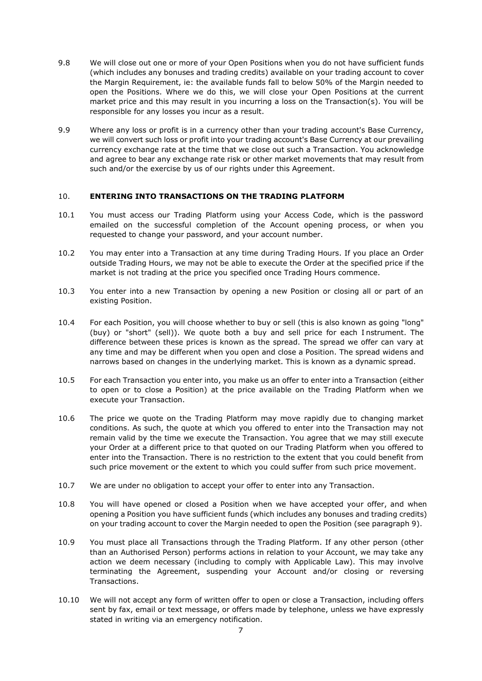- 9.8 We will close out one or more of your Open Positions when you do not have sufficient funds (which includes any bonuses and trading credits) available on your trading account to cover the Margin Requirement, ie: the available funds fall to below 50% of the Margin needed to open the Positions. Where we do this, we will close your Open Positions at the current market price and this may result in you incurring a loss on the Transaction(s). You will be responsible for any losses you incur as a result.
- 9.9 Where any loss or profit is in a currency other than your trading account's Base Currency, we will convert such loss or profit into your trading account's Base Currency at our prevailing currency exchange rate at the time that we close out such a Transaction. You acknowledge and agree to bear any exchange rate risk or other market movements that may result from such and/or the exercise by us of our rights under this Agreement.

## 10. **ENTERING INTO TRANSACTIONS ON THE TRADING PLATFORM**

- 10.1 You must access our Trading Platform using your Access Code, which is the password emailed on the successful completion of the Account opening process, or when you requested to change your password, and your account number.
- 10.2 You may enter into a Transaction at any time during Trading Hours. If you place an Order outside Trading Hours, we may not be able to execute the Order at the specified price if the market is not trading at the price you specified once Trading Hours commence.
- 10.3 You enter into a new Transaction by opening a new Position or closing all or part of an existing Position.
- 10.4 For each Position, you will choose whether to buy or sell (this is also known as going "long" (buy) or "short" (sell)). We quote both a buy and sell price for each I nstrument. The difference between these prices is known as the spread. The spread we offer can vary at any time and may be different when you open and close a Position. The spread widens and narrows based on changes in the underlying market. This is known as a dynamic spread.
- 10.5 For each Transaction you enter into, you make us an offer to enter into a Transaction (either to open or to close a Position) at the price available on the Trading Platform when we execute your Transaction.
- 10.6 The price we quote on the Trading Platform may move rapidly due to changing market conditions. As such, the quote at which you offered to enter into the Transaction may not remain valid by the time we execute the Transaction. You agree that we may still execute your Order at a different price to that quoted on our Trading Platform when you offered to enter into the Transaction. There is no restriction to the extent that you could benefit from such price movement or the extent to which you could suffer from such price movement.
- 10.7 We are under no obligation to accept your offer to enter into any Transaction.
- 10.8 You will have opened or closed a Position when we have accepted your offer, and when opening a Position you have sufficient funds (which includes any bonuses and trading credits) on your trading account to cover the Margin needed to open the Position (see paragraph [9\)](#page-5-0).
- 10.9 You must place all Transactions through the Trading Platform. If any other person (other than an Authorised Person) performs actions in relation to your Account, we may take any action we deem necessary (including to comply with Applicable Law). This may involve terminating the Agreement, suspending your Account and/or closing or reversing Transactions.
- 10.10 We will not accept any form of written offer to open or close a Transaction, including offers sent by fax, email or text message, or offers made by telephone, unless we have expressly stated in writing via an emergency notification.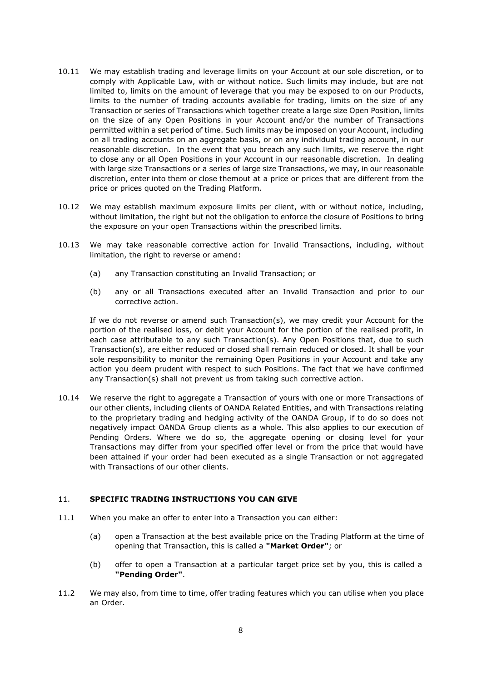- 10.11 We may establish trading and leverage limits on your Account at our sole discretion, or to comply with Applicable Law, with or without notice. Such limits may include, but are not limited to, limits on the amount of leverage that you may be exposed to on our Products, limits to the number of trading accounts available for trading, limits on the size of any Transaction or series of Transactions which together create a large size Open Position, limits on the size of any Open Positions in your Account and/or the number of Transactions permitted within a set period of time. Such limits may be imposed on your Account, including on all trading accounts on an aggregate basis, or on any individual trading account, in our reasonable discretion. In the event that you breach any such limits, we reserve the right to close any or all Open Positions in your Account in our reasonable discretion. In dealing with large size Transactions or a series of large size Transactions, we may, in our reasonable discretion, enter into them or close themout at a price or prices that are different from the price or prices quoted on the Trading Platform.
- 10.12 We may establish maximum exposure limits per client, with or without notice, including, without limitation, the right but not the obligation to enforce the closure of Positions to bring the exposure on your open Transactions within the prescribed limits.
- 10.13 We may take reasonable corrective action for Invalid Transactions, including, without limitation, the right to reverse or amend:
	- (a) any Transaction constituting an Invalid Transaction; or
	- (b) any or all Transactions executed after an Invalid Transaction and prior to our corrective action.

If we do not reverse or amend such Transaction(s), we may credit your Account for the portion of the realised loss, or debit your Account for the portion of the realised profit, in each case attributable to any such Transaction(s). Any Open Positions that, due to such Transaction(s), are either reduced or closed shall remain reduced or closed. It shall be your sole responsibility to monitor the remaining Open Positions in your Account and take any action you deem prudent with respect to such Positions. The fact that we have confirmed any Transaction(s) shall not prevent us from taking such corrective action.

10.14 We reserve the right to aggregate a Transaction of yours with one or more Transactions of our other clients, including clients of OANDA Related Entities, and with Transactions relating to the proprietary trading and hedging activity of the OANDA Group, if to do so does not negatively impact OANDA Group clients as a whole. This also applies to our execution of Pending Orders. Where we do so, the aggregate opening or closing level for your Transactions may differ from your specified offer level or from the price that would have been attained if your order had been executed as a single Transaction or not aggregated with Transactions of our other clients.

# 11. **SPECIFIC TRADING INSTRUCTIONS YOU CAN GIVE**

- 11.1 When you make an offer to enter into a Transaction you can either:
	- (a) open a Transaction at the best available price on the Trading Platform at the time of opening that Transaction, this is called a **"Market Order"**; or
	- (b) offer to open a Transaction at a particular target price set by you, this is called a **"Pending Order"**.
- 11.2 We may also, from time to time, offer trading features which you can utilise when you place an Order.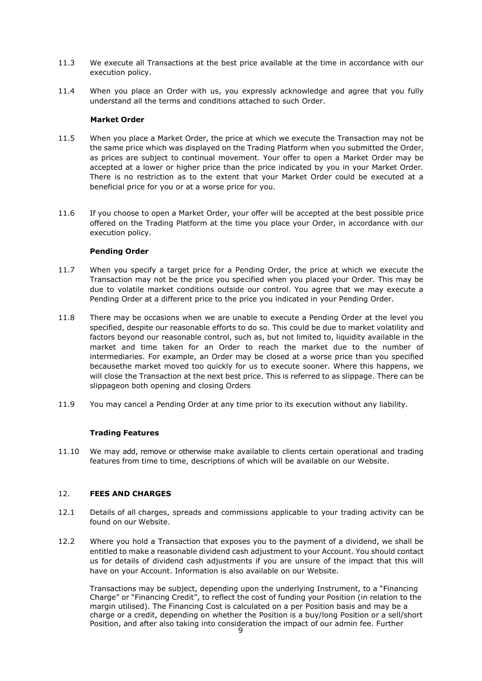- 11.3 We execute all Transactions at the best price available at the time in accordance with our execution policy.
- 11.4 When you place an Order with us, you expressly acknowledge and agree that you fully understand all the terms and conditions attached to such Order.

### **Market Order**

- 11.5 When you place a Market Order, the price at which we execute the Transaction may not be the same price which was displayed on the Trading Platform when you submitted the Order, as prices are subject to continual movement. Your offer to open a Market Order may be accepted at a lower or higher price than the price indicated by you in your Market Order. There is no restriction as to the extent that your Market Order could be executed at a beneficial price for you or at a worse price for you.
- 11.6 If you choose to open a Market Order, your offer will be accepted at the best possible price offered on the Trading Platform at the time you place your Order, in accordance with our execution policy.

## **Pending Order**

- 11.7 When you specify a target price for a Pending Order, the price at which we execute the Transaction may not be the price you specified when you placed your Order. This may be due to volatile market conditions outside our control. You agree that we may execute a Pending Order at a different price to the price you indicated in your Pending Order.
- 11.8 There may be occasions when we are unable to execute a Pending Order at the level you specified, despite our reasonable efforts to do so. This could be due to market volatility and factors beyond our reasonable control, such as, but not limited to, liquidity available in the market and time taken for an Order to reach the market due to the number of intermediaries. For example, an Order may be closed at a worse price than you specified becausethe market moved too quickly for us to execute sooner. Where this happens, we will close the Transaction at the next best price. This is referred to as slippage. There can be slippageon both opening and closing Orders
- 11.9 You may cancel a Pending Order at any time prior to its execution without any liability.

# **Trading Features**

11.10 We may add, remove or otherwise make available to clients certain operational and trading features from time to time, descriptions of which will be available on our Website.

# 12. **FEES AND CHARGES**

- 12.1 Details of all charges, spreads and commissions applicable to your trading activity can be found on our Website.
- 12.2 Where you hold a Transaction that exposes you to the payment of a dividend, we shall be entitled to make a reasonable dividend cash adjustment to your Account. You should contact us for details of dividend cash adjustments if you are unsure of the impact that this will have on your Account. Information is also available on our Website.

Transactions may be subject, depending upon the underlying Instrument, to a "Financing Charge" or "Financing Credit", to reflect the cost of funding your Position (in relation to the margin utilised). The Financing Cost is calculated on a per Position basis and may be a charge or a credit, depending on whether the Position is a buy/long Position or a sell/short Position, and after also taking into consideration the impact of our admin fee. Further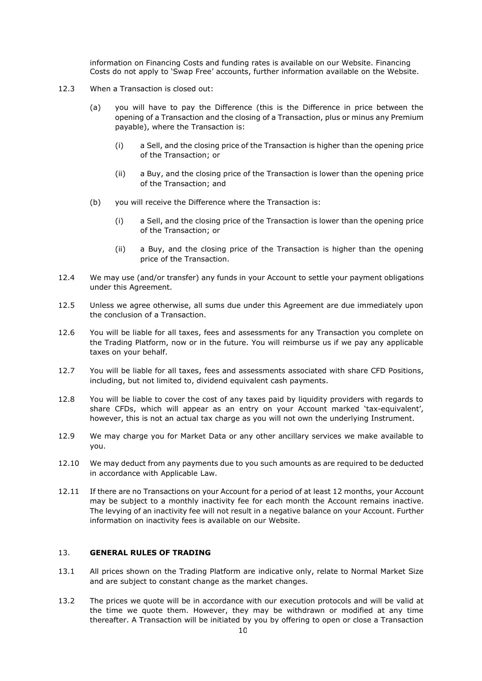information on Financing Costs and funding rates is available on our Website. Financing Costs do not apply to 'Swap Free' accounts, further information available on the Website.

- 12.3 When a Transaction is closed out:
	- (a) you will have to pay the Difference (this is the Difference in price between the opening of a Transaction and the closing of a Transaction, plus or minus any Premium payable), where the Transaction is:
		- (i) a Sell, and the closing price of the Transaction is higher than the opening price of the Transaction; or
		- (ii) a Buy, and the closing price of the Transaction is lower than the opening price of the Transaction; and
	- (b) you will receive the Difference where the Transaction is:
		- (i) a Sell, and the closing price of the Transaction is lower than the opening price of the Transaction; or
		- (ii) a Buy, and the closing price of the Transaction is higher than the opening price of the Transaction.
- 12.4 We may use (and/or transfer) any funds in your Account to settle your payment obligations under this Agreement.
- 12.5 Unless we agree otherwise, all sums due under this Agreement are due immediately upon the conclusion of a Transaction.
- 12.6 You will be liable for all taxes, fees and assessments for any Transaction you complete on the Trading Platform, now or in the future. You will reimburse us if we pay any applicable taxes on your behalf.
- 12.7 You will be liable for all taxes, fees and assessments associated with share CFD Positions, including, but not limited to, dividend equivalent cash payments.
- 12.8 You will be liable to cover the cost of any taxes paid by liquidity providers with regards to share CFDs, which will appear as an entry on your Account marked 'tax-equivalent', however, this is not an actual tax charge as you will not own the underlying Instrument.
- 12.9 We may charge you for Market Data or any other ancillary services we make available to you.
- 12.10 We may deduct from any payments due to you such amounts as are required to be deducted in accordance with Applicable Law.
- 12.11 If there are no Transactions on your Account for a period of at least 12 months, your Account may be subject to a monthly inactivity fee for each month the Account remains inactive. The levying of an inactivity fee will not result in a negative balance on your Account. Further information on inactivity fees is available on our Website.

# 13. **GENERAL RULES OF TRADING**

- 13.1 All prices shown on the Trading Platform are indicative only, relate to Normal Market Size and are subject to constant change as the market changes.
- 13.2 The prices we quote will be in accordance with our execution protocols and will be valid at the time we quote them. However, they may be withdrawn or modified at any time thereafter. A Transaction will be initiated by you by offering to open or close a Transaction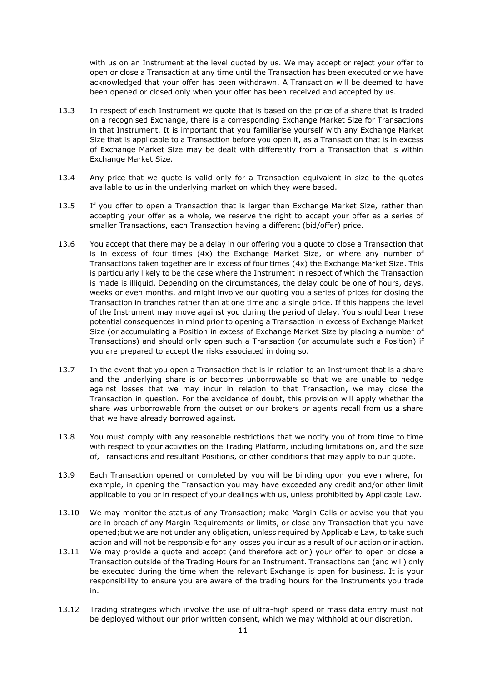with us on an Instrument at the level quoted by us. We may accept or reject your offer to open or close a Transaction at any time until the Transaction has been executed or we have acknowledged that your offer has been withdrawn. A Transaction will be deemed to have been opened or closed only when your offer has been received and accepted by us.

- 13.3 In respect of each Instrument we quote that is based on the price of a share that is traded on a recognised Exchange, there is a corresponding Exchange Market Size for Transactions in that Instrument. It is important that you familiarise yourself with any Exchange Market Size that is applicable to a Transaction before you open it, as a Transaction that is in excess of Exchange Market Size may be dealt with differently from a Transaction that is within Exchange Market Size.
- 13.4 Any price that we quote is valid only for a Transaction equivalent in size to the quotes available to us in the underlying market on which they were based.
- 13.5 If you offer to open a Transaction that is larger than Exchange Market Size, rather than accepting your offer as a whole, we reserve the right to accept your offer as a series of smaller Transactions, each Transaction having a different (bid/offer) price.
- 13.6 You accept that there may be a delay in our offering you a quote to close a Transaction that is in excess of four times (4x) the Exchange Market Size, or where any number of Transactions taken together are in excess of four times (4x) the Exchange Market Size. This is particularly likely to be the case where the Instrument in respect of which the Transaction is made is illiquid. Depending on the circumstances, the delay could be one of hours, days, weeks or even months, and might involve our quoting you a series of prices for closing the Transaction in tranches rather than at one time and a single price. If this happens the level of the Instrument may move against you during the period of delay. You should bear these potential consequences in mind prior to opening a Transaction in excess of Exchange Market Size (or accumulating a Position in excess of Exchange Market Size by placing a number of Transactions) and should only open such a Transaction (or accumulate such a Position) if you are prepared to accept the risks associated in doing so.
- 13.7 In the event that you open a Transaction that is in relation to an Instrument that is a share and the underlying share is or becomes unborrowable so that we are unable to hedge against losses that we may incur in relation to that Transaction, we may close the Transaction in question. For the avoidance of doubt, this provision will apply whether the share was unborrowable from the outset or our brokers or agents recall from us a share that we have already borrowed against.
- 13.8 You must comply with any reasonable restrictions that we notify you of from time to time with respect to your activities on the Trading Platform, including limitations on, and the size of, Transactions and resultant Positions, or other conditions that may apply to our quote.
- 13.9 Each Transaction opened or completed by you will be binding upon you even where, for example, in opening the Transaction you may have exceeded any credit and/or other limit applicable to you or in respect of your dealings with us, unless prohibited by Applicable Law.
- 13.10 We may monitor the status of any Transaction; make Margin Calls or advise you that you are in breach of any Margin Requirements or limits, or close any Transaction that you have opened;but we are not under any obligation, unless required by Applicable Law, to take such action and will not be responsible for any losses you incur as a result of our action or inaction.
- 13.11 We may provide a quote and accept (and therefore act on) your offer to open or close a Transaction outside of the Trading Hours for an Instrument. Transactions can (and will) only be executed during the time when the relevant Exchange is open for business. It is your responsibility to ensure you are aware of the trading hours for the Instruments you trade in.
- 13.12 Trading strategies which involve the use of ultra-high speed or mass data entry must not be deployed without our prior written consent, which we may withhold at our discretion.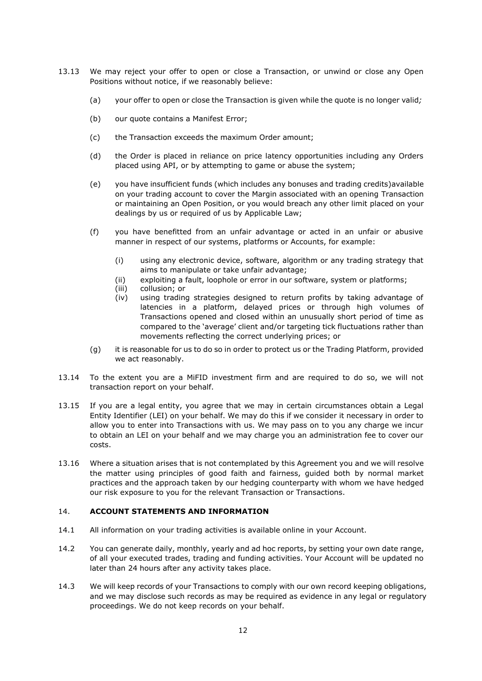- <span id="page-11-0"></span>13.13 We may reject your offer to open or close a Transaction, or unwind or close any Open Positions without notice, if we reasonably believe:
	- (a) your offer to open or close the Transaction is given while the quote is no longer valid*;*
	- (b) our quote contains a Manifest Error;
	- (c) the Transaction exceeds the maximum Order amount;
	- (d) the Order is placed in reliance on price latency opportunities including any Orders placed using API, or by attempting to game or abuse the system;
	- (e) you have insufficient funds (which includes any bonuses and trading credits)available on your trading account to cover the Margin associated with an opening Transaction or maintaining an Open Position, or you would breach any other limit placed on your dealings by us or required of us by Applicable Law;
	- (f) you have benefitted from an unfair advantage or acted in an unfair or abusive manner in respect of our systems, platforms or Accounts, for example:
		- (i) using any electronic device, software, algorithm or any trading strategy that aims to manipulate or take unfair advantage;
		- (ii) exploiting a fault, loophole or error in our software, system or platforms;
		- (iii) collusion; or
		- (iv) using trading strategies designed to return profits by taking advantage of latencies in a platform, delayed prices or through high volumes of Transactions opened and closed within an unusually short period of time as compared to the 'average' client and/or targeting tick fluctuations rather than movements reflecting the correct underlying prices; or
	- (g) it is reasonable for us to do so in order to protect us or the Trading Platform, provided we act reasonably.
- 13.14 To the extent you are a MiFID investment firm and are required to do so, we will not transaction report on your behalf.
- 13.15 If you are a legal entity, you agree that we may in certain circumstances obtain a Legal Entity Identifier (LEI) on your behalf. We may do this if we consider it necessary in order to allow you to enter into Transactions with us. We may pass on to you any charge we incur to obtain an LEI on your behalf and we may charge you an administration fee to cover our costs.
- 13.16 Where a situation arises that is not contemplated by this Agreement you and we will resolve the matter using principles of good faith and fairness, guided both by normal market practices and the approach taken by our hedging counterparty with whom we have hedged our risk exposure to you for the relevant Transaction or Transactions.

### 14. **ACCOUNT STATEMENTS AND INFORMATION**

- 14.1 All information on your trading activities is available online in your Account.
- 14.2 You can generate daily, monthly, yearly and ad hoc reports, by setting your own date range, of all your executed trades, trading and funding activities. Your Account will be updated no later than 24 hours after any activity takes place.
- 14.3 We will keep records of your Transactions to comply with our own record keeping obligations, and we may disclose such records as may be required as evidence in any legal or regulatory proceedings. We do not keep records on your behalf.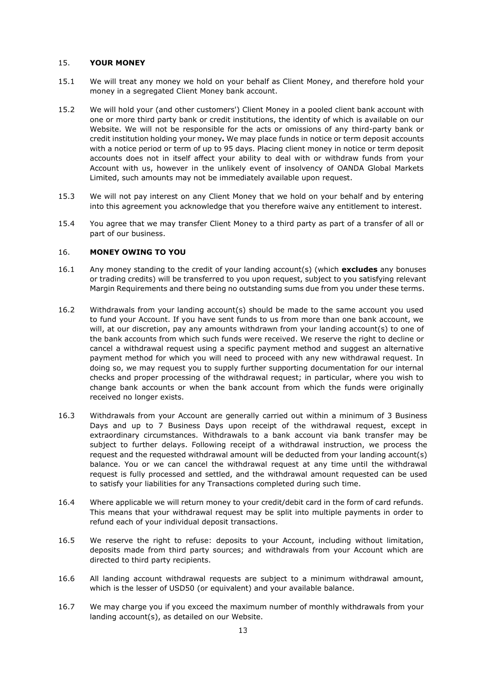### 15. **YOUR MONEY**

- 15.1 We will treat any money we hold on your behalf as Client Money, and therefore hold your money in a segregated Client Money bank account.
- 15.2 We will hold your (and other customers') Client Money in a pooled client bank account with one or more third party bank or credit institutions, the identity of which is available on our Website. We will not be responsible for the acts or omissions of any third-party bank or credit institution holding your money**.** We may place funds in notice or term deposit accounts with a notice period or term of up to 95 days. Placing client money in notice or term deposit accounts does not in itself affect your ability to deal with or withdraw funds from your Account with us, however in the unlikely event of insolvency of OANDA Global Markets Limited, such amounts may not be immediately available upon request.
- 15.3 We will not pay interest on any Client Money that we hold on your behalf and by entering into this agreement you acknowledge that you therefore waive any entitlement to interest.
- 15.4 You agree that we may transfer Client Money to a third party as part of a transfer of all or part of our business.

## 16. **MONEY OWING TO YOU**

- 16.1 Any money standing to the credit of your landing account(s) (which **excludes** any bonuses or trading credits) will be transferred to you upon request, subject to you satisfying relevant Margin Requirements and there being no outstanding sums due from you under these terms.
- 16.2 Withdrawals from your landing account(s) should be made to the same account you used to fund your Account. If you have sent funds to us from more than one bank account, we will, at our discretion, pay any amounts withdrawn from your landing account(s) to one of the bank accounts from which such funds were received. We reserve the right to decline or cancel a withdrawal request using a specific payment method and suggest an alternative payment method for which you will need to proceed with any new withdrawal request. In doing so, we may request you to supply further supporting documentation for our internal checks and proper processing of the withdrawal request; in particular, where you wish to change bank accounts or when the bank account from which the funds were originally received no longer exists.
- 16.3 Withdrawals from your Account are generally carried out within a minimum of 3 Business Days and up to 7 Business Days upon receipt of the withdrawal request, except in extraordinary circumstances. Withdrawals to a bank account via bank transfer may be subject to further delays. Following receipt of a withdrawal instruction, we process the request and the requested withdrawal amount will be deducted from your landing account(s) balance. You or we can cancel the withdrawal request at any time until the withdrawal request is fully processed and settled, and the withdrawal amount requested can be used to satisfy your liabilities for any Transactions completed during such time.
- 16.4 Where applicable we will return money to your credit/debit card in the form of card refunds. This means that your withdrawal request may be split into multiple payments in order to refund each of your individual deposit transactions.
- 16.5 We reserve the right to refuse: deposits to your Account, including without limitation, deposits made from third party sources; and withdrawals from your Account which are directed to third party recipients.
- 16.6 All landing account withdrawal requests are subject to a minimum withdrawal amount, which is the lesser of USD50 (or equivalent) and your available balance.
- 16.7 We may charge you if you exceed the maximum number of monthly withdrawals from your landing account(s), as detailed on our Website.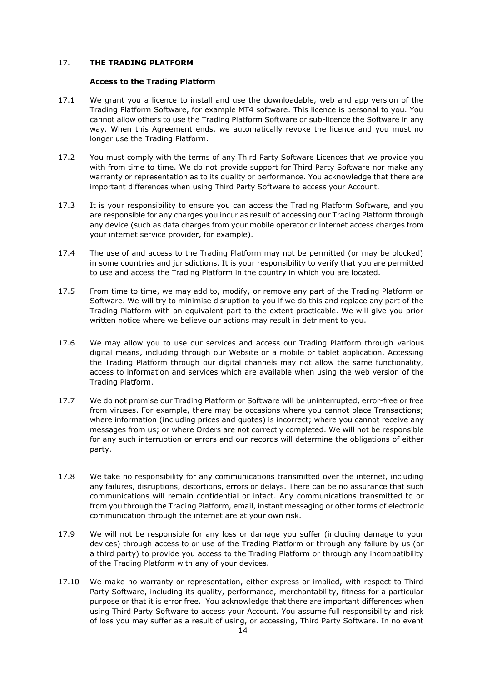## 17. **THE TRADING PLATFORM**

#### **Access to the Trading Platform**

- <span id="page-13-0"></span>17.1 We grant you a licence to install and use the downloadable, web and app version of the Trading Platform Software, for example MT4 software. This licence is personal to you. You cannot allow others to use the Trading Platform Software or sub-licence the Software in any way. When this Agreement ends, we automatically revoke the licence and you must no longer use the Trading Platform.
- 17.2 You must comply with the terms of any Third Party Software Licences that we provide you with from time to time. We do not provide support for Third Party Software nor make any warranty or representation as to its quality or performance. You acknowledge that there are important differences when using Third Party Software to access your Account.
- 17.3 It is your responsibility to ensure you can access the Trading Platform Software, and you are responsible for any charges you incur as result of accessing our Trading Platform through any device (such as data charges from your mobile operator or internet access charges from your internet service provider, for example).
- 17.4 The use of and access to the Trading Platform may not be permitted (or may be blocked) in some countries and jurisdictions. It is your responsibility to verify that you are permitted to use and access the Trading Platform in the country in which you are located.
- 17.5 From time to time, we may add to, modify, or remove any part of the Trading Platform or Software. We will try to minimise disruption to you if we do this and replace any part of the Trading Platform with an equivalent part to the extent practicable. We will give you prior written notice where we believe our actions may result in detriment to you.
- 17.6 We may allow you to use our services and access our Trading Platform through various digital means, including through our Website or a mobile or tablet application. Accessing the Trading Platform through our digital channels may not allow the same functionality, access to information and services which are available when using the web version of the Trading Platform.
- 17.7 We do not promise our Trading Platform or Software will be uninterrupted, error-free or free from viruses. For example, there may be occasions where you cannot place Transactions; where information (including prices and quotes) is incorrect; where you cannot receive any messages from us; or where Orders are not correctly completed. We will not be responsible for any such interruption or errors and our records will determine the obligations of either party.
- 17.8 We take no responsibility for any communications transmitted over the internet, including any failures, disruptions, distortions, errors or delays. There can be no assurance that such communications will remain confidential or intact. Any communications transmitted to or from you through the Trading Platform, email, instant messaging or other forms of electronic communication through the internet are at your own risk.
- 17.9 We will not be responsible for any loss or damage you suffer (including damage to your devices) through access to or use of the Trading Platform or through any failure by us (or a third party) to provide you access to the Trading Platform or through any incompatibility of the Trading Platform with any of your devices.
- 17.10 We make no warranty or representation, either express or implied, with respect to Third Party Software, including its quality, performance, merchantability, fitness for a particular purpose or that it is error free. You acknowledge that there are important differences when using Third Party Software to access your Account. You assume full responsibility and risk of loss you may suffer as a result of using, or accessing, Third Party Software. In no event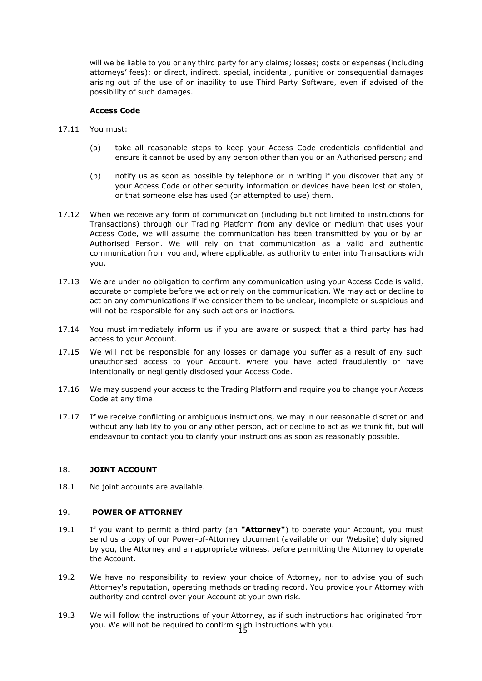will we be liable to you or any third party for any claims; losses; costs or expenses (including attorneys' fees); or direct, indirect, special, incidental, punitive or consequential damages arising out of the use of or inability to use Third Party Software, even if advised of the possibility of such damages.

## **Access Code**

- 17.11 You must:
	- (a) take all reasonable steps to keep your Access Code credentials confidential and ensure it cannot be used by any person other than you or an Authorised person; and
	- (b) notify us as soon as possible by telephone or in writing if you discover that any of your Access Code or other security information or devices have been lost or stolen, or that someone else has used (or attempted to use) them.
- 17.12 When we receive any form of communication (including but not limited to instructions for Transactions) through our Trading Platform from any device or medium that uses your Access Code, we will assume the communication has been transmitted by you or by an Authorised Person. We will rely on that communication as a valid and authentic communication from you and, where applicable, as authority to enter into Transactions with you.
- 17.13 We are under no obligation to confirm any communication using your Access Code is valid, accurate or complete before we act or rely on the communication. We may act or decline to act on any communications if we consider them to be unclear, incomplete or suspicious and will not be responsible for any such actions or inactions.
- 17.14 You must immediately inform us if you are aware or suspect that a third party has had access to your Account.
- 17.15 We will not be responsible for any losses or damage you suffer as a result of any such unauthorised access to your Account, where you have acted fraudulently or have intentionally or negligently disclosed your Access Code.
- 17.16 We may suspend your access to the Trading Platform and require you to change your Access Code at any time.
- 17.17 If we receive conflicting or ambiguous instructions, we may in our reasonable discretion and without any liability to you or any other person, act or decline to act as we think fit, but will endeavour to contact you to clarify your instructions as soon as reasonably possible.

### 18. **JOINT ACCOUNT**

18.1 No joint accounts are available.

### 19. **POWER OF ATTORNEY**

- 19.1 If you want to permit a third party (an **"Attorney"**) to operate your Account, you must send us a copy of our Power-of-Attorney document (available on our Website) duly signed by you, the Attorney and an appropriate witness, before permitting the Attorney to operate the Account.
- 19.2 We have no responsibility to review your choice of Attorney, nor to advise you of such Attorney's reputation, operating methods or trading record. You provide your Attorney with authority and control over your Account at your own risk.
- 15 you. We will not be required to confirm such instructions with you.19.3 We will follow the instructions of your Attorney, as if such instructions had originated from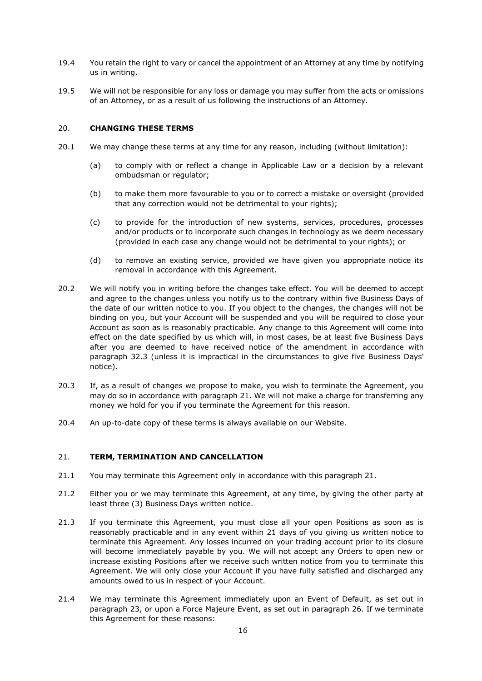- 19.4 You retain the right to vary or cancel the appointment of an Attorney at any time by notifying us in writing.
- 19.5 We will not be responsible for any loss or damage you may suffer from the acts or omissions of an Attorney, or as a result of us following the instructions of an Attorney.

### 20. **CHANGING THESE TERMS**

- 20.1 We may change these terms at any time for any reason, including (without limitation):
	- (a) to comply with or reflect a change in Applicable Law or a decision by a relevant ombudsman or regulator;
	- (b) to make them more favourable to you or to correct a mistake or oversight (provided that any correction would not be detrimental to your rights);
	- (c) to provide for the introduction of new systems, services, procedures, processes and/or products or to incorporate such changes in technology as we deem necessary (provided in each case any change would not be detrimental to your rights); or
	- (d) to remove an existing service, provided we have given you appropriate notice its removal in accordance with this Agreement.
- 20.2 We will notify you in writing before the changes take effect. You will be deemed to accept and agree to the changes unless you notify us to the contrary within five Business Days of the date of our written notice to you. If you object to the changes, the changes will not be binding on you, but your Account will be suspended and you will be required to close your Account as soon as is reasonably practicable. Any change to this Agreement will come into effect on the date specified by us which will, in most cases, be at least five Business Days after you are deemed to have received notice of the amendment in accordance with paragraph [32.3](#page-26-0) (unless it is impractical in the circumstances to give five Business Days' notice).
- 20.3 If, as a result of changes we propose to make, you wish to terminate the Agreement, you may do so in accordance with paragraph [21.](#page-15-0) We will not make a charge for transferring any money we hold for you if you terminate the Agreement for this reason.
- 20.4 An up-to-date copy of these terms is always available on our Website.

## <span id="page-15-0"></span>21. **TERM, TERMINATION AND CANCELLATION**

- 21.1 You may terminate this Agreement only in accordance with this paragraph [21.](#page-15-0)
- 21.2 Either you or we may terminate this Agreement, at any time, by giving the other party at least three (3) Business Days written notice.
- 21.3 If you terminate this Agreement, you must close all your open Positions as soon as is reasonably practicable and in any event within 21 days of you giving us written notice to terminate this Agreement. Any losses incurred on your trading account prior to its closure will become immediately payable by you. We will not accept any Orders to open new or increase existing Positions after we receive such written notice from you to terminate this Agreement. We will only close your Account if you have fully satisfied and discharged any amounts owed to us in respect of your Account.
- 21.4 We may terminate this Agreement immediately upon an Event of Default, as set out in paragraph [23,](#page-16-0) or upon a Force Majeure Event, as set out in paragraph 26. If we terminate this Agreement for these reasons: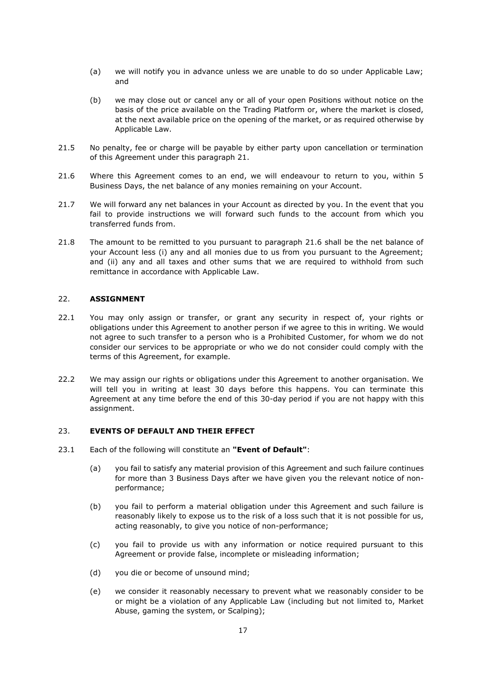- (a) we will notify you in advance unless we are unable to do so under Applicable Law; and
- (b) we may close out or cancel any or all of your open Positions without notice on the basis of the price available on the Trading Platform or, where the market is closed, at the next available price on the opening of the market, or as required otherwise by Applicable Law.
- 21.5 No penalty, fee or charge will be payable by either party upon cancellation or termination of this Agreement under this paragraph [21.](#page-15-0)
- 21.6 Where this Agreement comes to an end, we will endeavour to return to you, within 5 Business Days, the net balance of any monies remaining on your Account.
- 21.7 We will forward any net balances in your Account as directed by you. In the event that you fail to provide instructions we will forward such funds to the account from which you transferred funds from.
- 21.8 The amount to be remitted to you pursuant to paragraph 21.6 shall be the net balance of your Account less (i) any and all monies due to us from you pursuant to the Agreement; and (ii) any and all taxes and other sums that we are required to withhold from such remittance in accordance with Applicable Law.

### 22. **ASSIGNMENT**

- 22.1 You may only assign or transfer, or grant any security in respect of, your rights or obligations under this Agreement to another person if we agree to this in writing. We would not agree to such transfer to a person who is a Prohibited Customer, for whom we do not consider our services to be appropriate or who we do not consider could comply with the terms of this Agreement, for example.
- 22.2 We may assign our rights or obligations under this Agreement to another organisation. We will tell you in writing at least 30 days before this happens. You can terminate this Agreement at any time before the end of this 30-day period if you are not happy with this assignment.

#### <span id="page-16-0"></span>23. **EVENTS OF DEFAULT AND THEIR EFFECT**

- <span id="page-16-1"></span>23.1 Each of the following will constitute an **"Event of Default"**:
	- (a) you fail to satisfy any material provision of this Agreement and such failure continues for more than 3 Business Days after we have given you the relevant notice of nonperformance;
	- (b) you fail to perform a material obligation under this Agreement and such failure is reasonably likely to expose us to the risk of a loss such that it is not possible for us, acting reasonably, to give you notice of non-performance;
	- (c) you fail to provide us with any information or notice required pursuant to this Agreement or provide false, incomplete or misleading information;
	- (d) you die or become of unsound mind;
	- (e) we consider it reasonably necessary to prevent what we reasonably consider to be or might be a violation of any Applicable Law (including but not limited to, Market Abuse, gaming the system, or Scalping);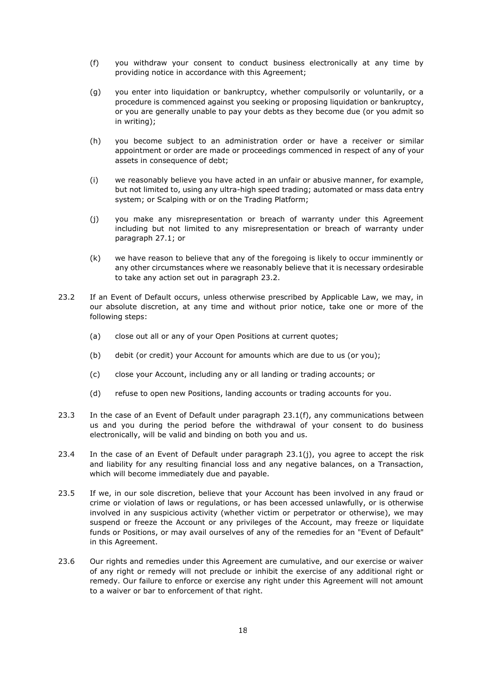- <span id="page-17-1"></span>(f) you withdraw your consent to conduct business electronically at any time by providing notice in accordance with this Agreement;
- (g) you enter into liquidation or bankruptcy, whether compulsorily or voluntarily, or a procedure is commenced against you seeking or proposing liquidation or bankruptcy, or you are generally unable to pay your debts as they become due (or you admit so in writing);
- (h) you become subject to an administration order or have a receiver or similar appointment or order are made or proceedings commenced in respect of any of your assets in consequence of debt;
- (i) we reasonably believe you have acted in an unfair or abusive manner, for example, but not limited to, using any ultra-high speed trading; automated or mass data entry system; or Scalping with or on the Trading Platform;
- (j) you make any misrepresentation or breach of warranty under this Agreement including but not limited to any misrepresentation or breach of warranty under paragraph 27.1; or
- <span id="page-17-2"></span>(k) we have reason to believe that any of the foregoing is likely to occur imminently or any other circumstances where we reasonably believe that it is necessary ordesirable to take any action set out in paragraph [23.2.](#page-17-0)
- <span id="page-17-0"></span>23.2 If an Event of Default occurs, unless otherwise prescribed by Applicable Law, we may, in our absolute discretion, at any time and without prior notice, take one or more of the following steps:
	- (a) close out all or any of your Open Positions at current quotes;
	- (b) debit (or credit) your Account for amounts which are due to us (or you);
	- (c) close your Account, including any or all landing or trading accounts; or
	- (d) refuse to open new Positions, landing accounts or trading accounts for you.
- 23.3 In the case of an Event of Default under paragraph [23.1\(f\),](#page-17-1) any communications between us and you during the period before the withdrawal of your consent to do business electronically, will be valid and binding on both you and us.
- 23.4 In the case of an Event of Default under paragraph  $23.1(i)$ , you agree to accept the risk and liability for any resulting financial loss and any negative balances, on a Transaction, which will become immediately due and payable.
- 23.5 If we, in our sole discretion, believe that your Account has been involved in any fraud or crime or violation of laws or regulations, or has been accessed unlawfully, or is otherwise involved in any suspicious activity (whether victim or perpetrator or otherwise), we may suspend or freeze the Account or any privileges of the Account, may freeze or liquidate funds or Positions, or may avail ourselves of any of the remedies for an "Event of Default" in this Agreement.
- 23.6 Our rights and remedies under this Agreement are cumulative, and our exercise or waiver of any right or remedy will not preclude or inhibit the exercise of any additional right or remedy. Our failure to enforce or exercise any right under this Agreement will not amount to a waiver or bar to enforcement of that right.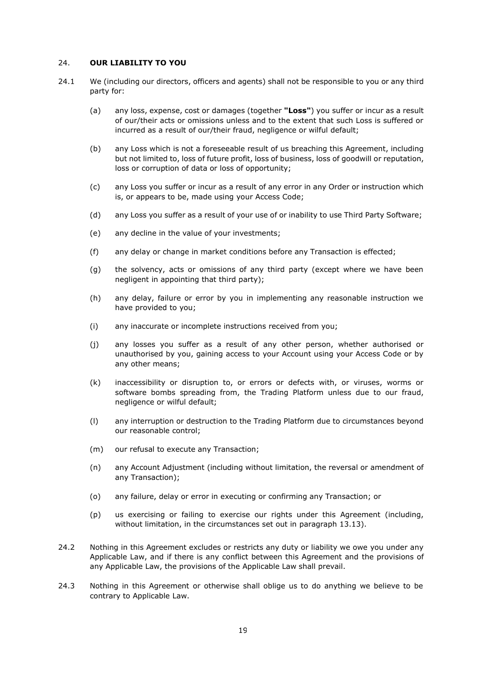## <span id="page-18-0"></span>24. **OUR LIABILITY TO YOU**

- 24.1 We (including our directors, officers and agents) shall not be responsible to you or any third party for:
	- (a) any loss, expense, cost or damages (together **"Loss"**) you suffer or incur as a result of our/their acts or omissions unless and to the extent that such Loss is suffered or incurred as a result of our/their fraud, negligence or wilful default;
	- (b) any Loss which is not a foreseeable result of us breaching this Agreement, including but not limited to, loss of future profit, loss of business, loss of goodwill or reputation, loss or corruption of data or loss of opportunity;
	- (c) any Loss you suffer or incur as a result of any error in any Order or instruction which is, or appears to be, made using your Access Code;
	- (d) any Loss you suffer as a result of your use of or inability to use Third Party Software;
	- (e) any decline in the value of your investments;
	- (f) any delay or change in market conditions before any Transaction is effected;
	- (g) the solvency, acts or omissions of any third party (except where we have been negligent in appointing that third party);
	- (h) any delay, failure or error by you in implementing any reasonable instruction we have provided to you;
	- (i) any inaccurate or incomplete instructions received from you;
	- (j) any losses you suffer as a result of any other person, whether authorised or unauthorised by you, gaining access to your Account using your Access Code or by any other means;
	- (k) inaccessibility or disruption to, or errors or defects with, or viruses, worms or software bombs spreading from, the Trading Platform unless due to our fraud, negligence or wilful default;
	- (l) any interruption or destruction to the Trading Platform due to circumstances beyond our reasonable control;
	- (m) our refusal to execute any Transaction;
	- (n) any Account Adjustment (including without limitation, the reversal or amendment of any Transaction);
	- (o) any failure, delay or error in executing or confirming any Transaction; or
	- (p) us exercising or failing to exercise our rights under this Agreement (including, without limitation, in the circumstances set out in paragraph [13.13\)](#page-11-0).
- 24.2 Nothing in this Agreement excludes or restricts any duty or liability we owe you under any Applicable Law, and if there is any conflict between this Agreement and the provisions of any Applicable Law, the provisions of the Applicable Law shall prevail.
- 24.3 Nothing in this Agreement or otherwise shall oblige us to do anything we believe to be contrary to Applicable Law.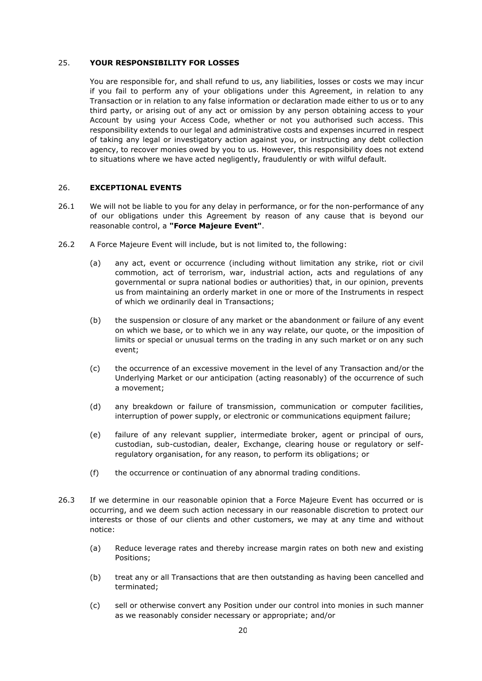## 25. **YOUR RESPONSIBILITY FOR LOSSES**

You are responsible for, and shall refund to us, any liabilities, losses or costs we may incur if you fail to perform any of your obligations under this Agreement, in relation to any Transaction or in relation to any false information or declaration made either to us or to any third party, or arising out of any act or omission by any person obtaining access to your Account by using your Access Code, whether or not you authorised such access. This responsibility extends to our legal and administrative costs and expenses incurred in respect of taking any legal or investigatory action against you, or instructing any debt collection agency, to recover monies owed by you to us. However, this responsibility does not extend to situations where we have acted negligently, fraudulently or with wilful default.

### 26. **EXCEPTIONAL EVENTS**

- 26.1 We will not be liable to you for any delay in performance, or for the non-performance of any of our obligations under this Agreement by reason of any cause that is beyond our reasonable control, a **"Force Majeure Event"**.
- 26.2 A Force Majeure Event will include, but is not limited to, the following:
	- (a) any act, event or occurrence (including without limitation any strike, riot or civil commotion, act of terrorism, war, industrial action, acts and regulations of any governmental or supra national bodies or authorities) that, in our opinion, prevents us from maintaining an orderly market in one or more of the Instruments in respect of which we ordinarily deal in Transactions;
	- (b) the suspension or closure of any market or the abandonment or failure of any event on which we base, or to which we in any way relate, our quote, or the imposition of limits or special or unusual terms on the trading in any such market or on any such event;
	- (c) the occurrence of an excessive movement in the level of any Transaction and/or the Underlying Market or our anticipation (acting reasonably) of the occurrence of such a movement;
	- (d) any breakdown or failure of transmission, communication or computer facilities, interruption of power supply, or electronic or communications equipment failure;
	- (e) failure of any relevant supplier, intermediate broker, agent or principal of ours, custodian, sub-custodian, dealer, Exchange, clearing house or regulatory or selfregulatory organisation, for any reason, to perform its obligations; or
	- (f) the occurrence or continuation of any abnormal trading conditions.
- 26.3 If we determine in our reasonable opinion that a Force Majeure Event has occurred or is occurring, and we deem such action necessary in our reasonable discretion to protect our interests or those of our clients and other customers, we may at any time and without notice:
	- (a) Reduce leverage rates and thereby increase margin rates on both new and existing Positions;
	- (b) treat any or all Transactions that are then outstanding as having been cancelled and terminated;
	- (c) sell or otherwise convert any Position under our control into monies in such manner as we reasonably consider necessary or appropriate; and/or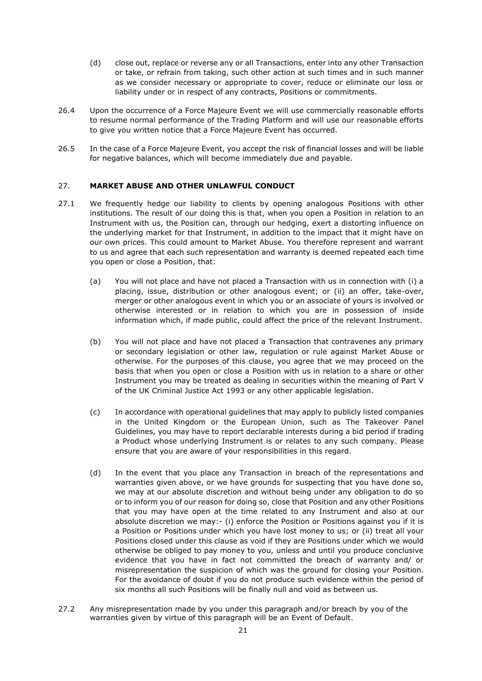- (d) close out, replace or reverse any or all Transactions, enter into any other Transaction or take, or refrain from taking, such other action at such times and in such manner as we consider necessary or appropriate to cover, reduce or eliminate our loss or liability under or in respect of any contracts, Positions or commitments.
- 26.4 Upon the occurrence of a Force Majeure Event we will use commercially reasonable efforts to resume normal performance of the Trading Platform and will use our reasonable efforts to give you written notice that a Force Majeure Event has occurred.
- 26.5 In the case of a Force Majeure Event, you accept the risk of financial losses and will be liable for negative balances, which will become immediately due and payable.

## 27. **MARKET ABUSE AND OTHER UNLAWFUL CONDUCT**

- 27.1 We frequently hedge our liability to clients by opening analogous Positions with other institutions. The result of our doing this is that, when you open a Position in relation to an Instrument with us, the Position can, through our hedging, exert a distorting influence on the underlying market for that Instrument, in addition to the impact that it might have on our own prices. This could amount to Market Abuse. You therefore represent and warrant to us and agree that each such representation and warranty is deemed repeated each time you open or close a Position, that:
	- (a) You will not place and have not placed a Transaction with us in connection with (i) a placing, issue, distribution or other analogous event; or (ii) an offer, take-over, merger or other analogous event in which you or an associate of yours is involved or otherwise interested or in relation to which you are in possession of inside information which, if made public, could affect the price of the relevant Instrument.
	- (b) You will not place and have not placed a Transaction that contravenes any primary or secondary legislation or other law, regulation or rule against Market Abuse or otherwise. For the purposes of this clause, you agree that we may proceed on the basis that when you open or close a Position with us in relation to a share or other Instrument you may be treated as dealing in securities within the meaning of Part V of the UK Criminal Justice Act 1993 or any other applicable legislation.
	- (c) In accordance with operational guidelines that may apply to publicly listed companies in the United Kingdom or the European Union, such as The Takeover Panel Guidelines, you may have to report declarable interests during a bid period if trading a Product whose underlying Instrument is or relates to any such company. Please ensure that you are aware of your responsibilities in this regard.
	- (d) In the event that you place any Transaction in breach of the representations and warranties given above, or we have grounds for suspecting that you have done so, we may at our absolute discretion and without being under any obligation to do so or to inform you of our reason for doing so, close that Position and any other Positions that you may have open at the time related to any Instrument and also at our absolute discretion we may:- (i) enforce the Position or Positions against you if it is a Position or Positions under which you have lost money to us; or (ii) treat all your Positions closed under this clause as void if they are Positions under which we would otherwise be obliged to pay money to you, unless and until you produce conclusive evidence that you have in fact not committed the breach of warranty and/ or misrepresentation the suspicion of which was the ground for closing your Position. For the avoidance of doubt if you do not produce such evidence within the period of six months all such Positions will be finally null and void as between us.
- 27.2 Any misrepresentation made by you under this paragraph and/or breach by you of the warranties given by virtue of this paragraph will be an Event of Default.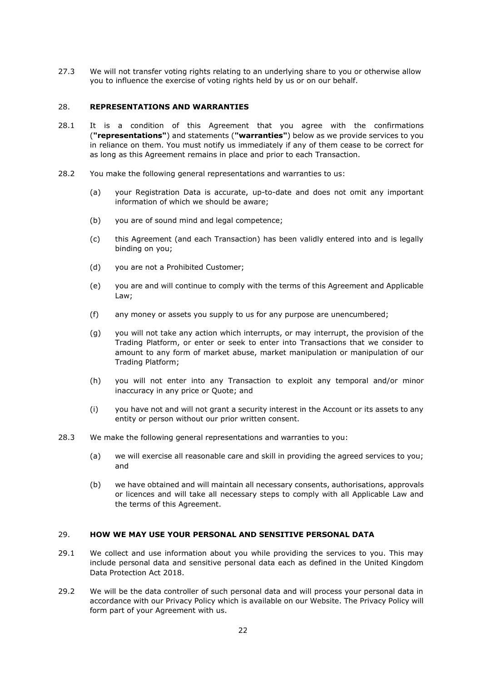27.3 We will not transfer voting rights relating to an underlying share to you or otherwise allow you to influence the exercise of voting rights held by us or on our behalf.

#### 28. **REPRESENTATIONS AND WARRANTIES**

- 28.1 It is a condition of this Agreement that you agree with the confirmations (**"representations"**) and statements (**"warranties"**) below as we provide services to you in reliance on them. You must notify us immediately if any of them cease to be correct for as long as this Agreement remains in place and prior to each Transaction.
- 28.2 You make the following general representations and warranties to us:
	- (a) your Registration Data is accurate, up-to-date and does not omit any important information of which we should be aware;
	- (b) you are of sound mind and legal competence;
	- (c) this Agreement (and each Transaction) has been validly entered into and is legally binding on you;
	- (d) you are not a Prohibited Customer;
	- (e) you are and will continue to comply with the terms of this Agreement and Applicable Law;
	- (f) any money or assets you supply to us for any purpose are unencumbered;
	- (g) you will not take any action which interrupts, or may interrupt, the provision of the Trading Platform, or enter or seek to enter into Transactions that we consider to amount to any form of market abuse, market manipulation or manipulation of our Trading Platform;
	- (h) you will not enter into any Transaction to exploit any temporal and/or minor inaccuracy in any price or Quote; and
	- (i) you have not and will not grant a security interest in the Account or its assets to any entity or person without our prior written consent.
- 28.3 We make the following general representations and warranties to you:
	- (a) we will exercise all reasonable care and skill in providing the agreed services to you; and
	- (b) we have obtained and will maintain all necessary consents, authorisations, approvals or licences and will take all necessary steps to comply with all Applicable Law and the terms of this Agreement.

### 29. **HOW WE MAY USE YOUR PERSONAL AND SENSITIVE PERSONAL DATA**

- 29.1 We collect and use information about you while providing the services to you. This may include personal data and sensitive personal data each as defined in the United Kingdom Data Protection Act 2018.
- 29.2 We will be the data controller of such personal data and will process your personal data in accordance with our Privacy Policy which is available on our Website. The Privacy Policy will form part of your Agreement with us.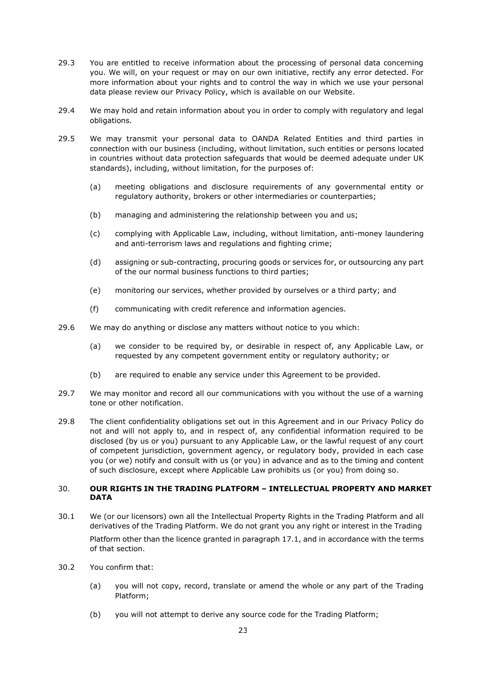- 29.3 You are entitled to receive information about the processing of personal data concerning you. We will, on your request or may on our own initiative, rectify any error detected. For more information about your rights and to control the way in which we use your personal data please review our Privacy Policy, which is available on our Website.
- 29.4 We may hold and retain information about you in order to comply with regulatory and legal obligations.
- 29.5 We may transmit your personal data to OANDA Related Entities and third parties in connection with our business (including, without limitation, such entities or persons located in countries without data protection safeguards that would be deemed adequate under UK standards), including, without limitation, for the purposes of:
	- (a) meeting obligations and disclosure requirements of any governmental entity or regulatory authority, brokers or other intermediaries or counterparties;
	- (b) managing and administering the relationship between you and us;
	- (c) complying with Applicable Law, including, without limitation, anti-money laundering and anti-terrorism laws and regulations and fighting crime;
	- (d) assigning or sub-contracting, procuring goods or services for, or outsourcing any part of the our normal business functions to third parties;
	- (e) monitoring our services, whether provided by ourselves or a third party; and
	- (f) communicating with credit reference and information agencies.
- 29.6 We may do anything or disclose any matters without notice to you which:
	- (a) we consider to be required by, or desirable in respect of, any Applicable Law, or requested by any competent government entity or regulatory authority; or
	- (b) are required to enable any service under this Agreement to be provided.
- 29.7 We may monitor and record all our communications with you without the use of a warning tone or other notification.
- 29.8 The client confidentiality obligations set out in this Agreement and in our Privacy Policy do not and will not apply to, and in respect of, any confidential information required to be disclosed (by us or you) pursuant to any Applicable Law, or the lawful request of any court of competent jurisdiction, government agency, or regulatory body, provided in each case you (or we) notify and consult with us (or you) in advance and as to the timing and content of such disclosure, except where Applicable Law prohibits us (or you) from doing so.

## 30. **OUR RIGHTS IN THE TRADING PLATFORM – INTELLECTUAL PROPERTY AND MARKET DATA**

- 30.1 We (or our licensors) own all the Intellectual Property Rights in the Trading Platform and all derivatives of the Trading Platform. We do not grant you any right or interest in the Trading Platform other than the licence granted in paragraph [17.1,](#page-13-0) and in accordance with the terms of that section.
- 30.2 You confirm that:
	- (a) you will not copy, record, translate or amend the whole or any part of the Trading Platform;
	- (b) you will not attempt to derive any source code for the Trading Platform;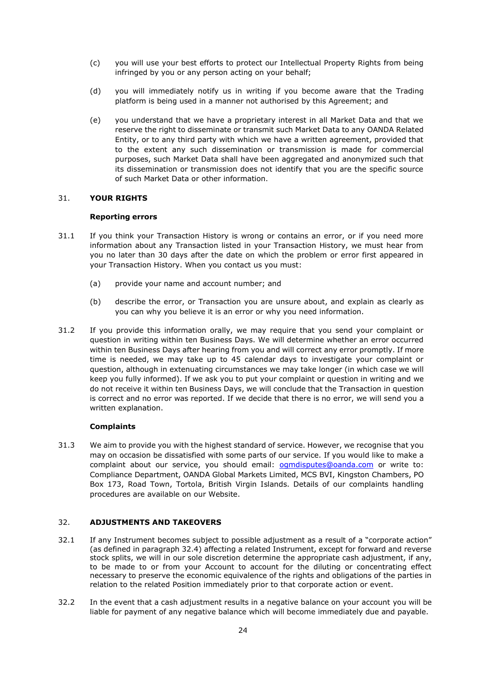- (c) you will use your best efforts to protect our Intellectual Property Rights from being infringed by you or any person acting on your behalf;
- (d) you will immediately notify us in writing if you become aware that the Trading platform is being used in a manner not authorised by this Agreement; and
- (e) you understand that we have a proprietary interest in all Market Data and that we reserve the right to disseminate or transmit such Market Data to any OANDA Related Entity, or to any third party with which we have a written agreement, provided that to the extent any such dissemination or transmission is made for commercial purposes, such Market Data shall have been aggregated and anonymized such that its dissemination or transmission does not identify that you are the specific source of such Market Data or other information.

### 31. **YOUR RIGHTS**

## **Reporting errors**

- 31.1 If you think your Transaction History is wrong or contains an error, or if you need more information about any Transaction listed in your Transaction History, we must hear from you no later than 30 days after the date on which the problem or error first appeared in your Transaction History. When you contact us you must:
	- (a) provide your name and account number; and
	- (b) describe the error, or Transaction you are unsure about, and explain as clearly as you can why you believe it is an error or why you need information.
- 31.2 If you provide this information orally, we may require that you send your complaint or question in writing within ten Business Days. We will determine whether an error occurred within ten Business Days after hearing from you and will correct any error promptly. If more time is needed, we may take up to 45 calendar days to investigate your complaint or question, although in extenuating circumstances we may take longer (in which case we will keep you fully informed). If we ask you to put your complaint or question in writing and we do not receive it within ten Business Days, we will conclude that the Transaction in question is correct and no error was reported. If we decide that there is no error, we will send you a written explanation.

# **Complaints**

31.3 We aim to provide you with the highest standard of service. However, we recognise that you may on occasion be dissatisfied with some parts of our service. If you would like to make a complaint about our service, you should email: **[ogmdisputes@oanda.com](mailto:ogmdisputes@oanda.com)** or write to: Compliance Department, OANDA Global Markets Limited, MCS BVI, Kingston Chambers, PO Box 173, Road Town, Tortola, British Virgin Islands. Details of our complaints handling procedures are available on our Website.

# 32. **ADJUSTMENTS AND TAKEOVERS**

- 32.1 If any Instrument becomes subject to possible adjustment as a result of a "corporate action" (as defined in paragraph 32.4) affecting a related Instrument, except for forward and reverse stock splits, we will in our sole discretion determine the appropriate cash adjustment, if any, to be made to or from your Account to account for the diluting or concentrating effect necessary to preserve the economic equivalence of the rights and obligations of the parties in relation to the related Position immediately prior to that corporate action or event.
- 32.2 In the event that a cash adjustment results in a negative balance on your account you will be liable for payment of any negative balance which will become immediately due and payable.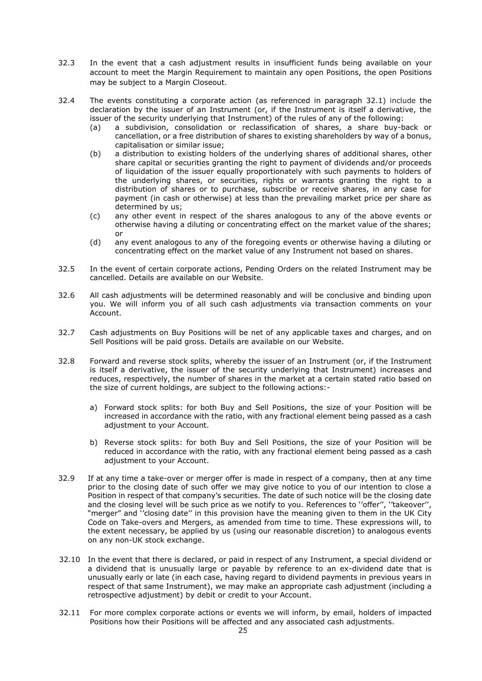- 32.3 In the event that a cash adjustment results in insufficient funds being available on your account to meet the Margin Requirement to maintain any open Positions, the open Positions may be subject to a Margin Closeout.
- 32.4 The events constituting a corporate action (as referenced in paragraph 32.1) include the declaration by the issuer of an Instrument (or, if the Instrument is itself a derivative, the issuer of the security underlying that Instrument) of the rules of any of the following:
	- (a) a subdivision, consolidation or reclassification of shares, a share buy-back or cancellation, or a free distribution of shares to existing shareholders by way of a bonus, capitalisation or similar issue;
	- (b) a distribution to existing holders of the underlying shares of additional shares, other share capital or securities granting the right to payment of dividends and/or proceeds of liquidation of the issuer equally proportionately with such payments to holders of the underlying shares, or securities, rights or warrants granting the right to a distribution of shares or to purchase, subscribe or receive shares, in any case for payment (in cash or otherwise) at less than the prevailing market price per share as determined by us;
	- (c) any other event in respect of the shares analogous to any of the above events or otherwise having a diluting or concentrating effect on the market value of the shares; or
	- (d) any event analogous to any of the foregoing events or otherwise having a diluting or concentrating effect on the market value of any Instrument not based on shares.
- 32.5 In the event of certain corporate actions, Pending Orders on the related Instrument may be cancelled. Details are available on our Website.
- 32.6 All cash adjustments will be determined reasonably and will be conclusive and binding upon you. We will inform you of all such cash adjustments via transaction comments on your Account.
- 32.7 Cash adjustments on Buy Positions will be net of any applicable taxes and charges, and on Sell Positions will be paid gross. Details are available on our Website.
- 32.8 Forward and reverse stock splits, whereby the issuer of an Instrument (or, if the Instrument is itself a derivative, the issuer of the security underlying that Instrument) increases and reduces, respectively, the number of shares in the market at a certain stated ratio based on the size of current holdings, are subject to the following actions:
	- a) Forward stock splits: for both Buy and Sell Positions, the size of your Position will be increased in accordance with the ratio, with any fractional element being passed as a cash adjustment to your Account.
	- b) Reverse stock splits: for both Buy and Sell Positions, the size of your Position will be reduced in accordance with the ratio, with any fractional element being passed as a cash adjustment to your Account.
- 32.9 If at any time a take-over or merger offer is made in respect of a company, then at any time prior to the closing date of such offer we may give notice to you of our intention to close a Position in respect of that company's securities. The date of such notice will be the closing date and the closing level will be such price as we notify to you. References to ''offer'', ''takeover'', "merger" and "closing date" in this provision have the meaning given to them in the UK City Code on Take-overs and Mergers, as amended from time to time. These expressions will, to the extent necessary, be applied by us (using our reasonable discretion) to analogous events on any non-UK stock exchange.
- 32.10 In the event that there is declared, or paid in respect of any Instrument, a special dividend or a dividend that is unusually large or payable by reference to an ex-dividend date that is unusually early or late (in each case, having regard to dividend payments in previous years in respect of that same Instrument), we may make an appropriate cash adjustment (including a retrospective adjustment) by debit or credit to your Account.
- 32.11 For more complex corporate actions or events we will inform, by email, holders of impacted Positions how their Positions will be affected and any associated cash adjustments.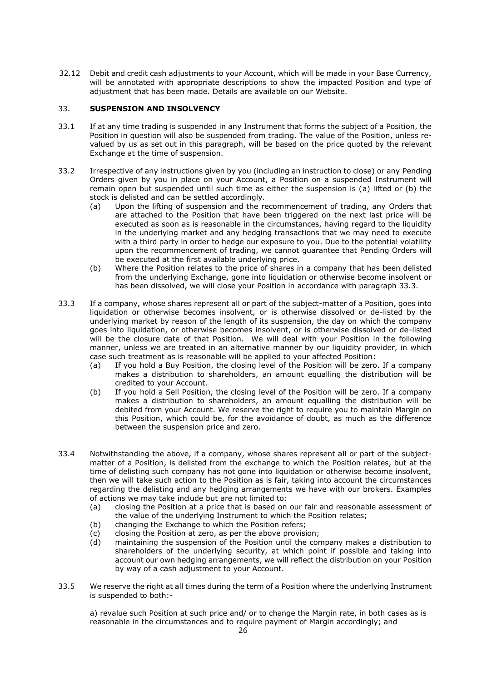32.12 Debit and credit cash adjustments to your Account, which will be made in your Base Currency, will be annotated with appropriate descriptions to show the impacted Position and type of adjustment that has been made. Details are available on our Website.

## 33. **SUSPENSION AND INSOLVENCY**

- 33.1 If at any time trading is suspended in any Instrument that forms the subject of a Position, the Position in question will also be suspended from trading. The value of the Position, unless revalued by us as set out in this paragraph, will be based on the price quoted by the relevant Exchange at the time of suspension.
- 33.2 Irrespective of any instructions given by you (including an instruction to close) or any Pending Orders given by you in place on your Account, a Position on a suspended Instrument will remain open but suspended until such time as either the suspension is (a) lifted or (b) the stock is delisted and can be settled accordingly.
	- (a) Upon the lifting of suspension and the recommencement of trading, any Orders that are attached to the Position that have been triggered on the next last price will be executed as soon as is reasonable in the circumstances, having regard to the liquidity in the underlying market and any hedging transactions that we may need to execute with a third party in order to hedge our exposure to you. Due to the potential volatility upon the recommencement of trading, we cannot guarantee that Pending Orders will be executed at the first available underlying price.
	- (b) Where the Position relates to the price of shares in a company that has been delisted from the underlying Exchange, gone into liquidation or otherwise become insolvent or has been dissolved, we will close your Position in accordance with paragraph 33.3.
- 33.3 If a company, whose shares represent all or part of the subject-matter of a Position, goes into liquidation or otherwise becomes insolvent, or is otherwise dissolved or de-listed by the underlying market by reason of the length of its suspension, the day on which the company goes into liquidation, or otherwise becomes insolvent, or is otherwise dissolved or de-listed will be the closure date of that Position. We will deal with your Position in the following manner, unless we are treated in an alternative manner by our liquidity provider, in which case such treatment as is reasonable will be applied to your affected Position:
	- (a) If you hold a Buy Position, the closing level of the Position will be zero. If a company makes a distribution to shareholders, an amount equalling the distribution will be credited to your Account.
	- (b) If you hold a Sell Position, the closing level of the Position will be zero. If a company makes a distribution to shareholders, an amount equalling the distribution will be debited from your Account. We reserve the right to require you to maintain Margin on this Position, which could be, for the avoidance of doubt, as much as the difference between the suspension price and zero.
- 33.4 Notwithstanding the above, if a company, whose shares represent all or part of the subjectmatter of a Position, is delisted from the exchange to which the Position relates, but at the time of delisting such company has not gone into liquidation or otherwise become insolvent, then we will take such action to the Position as is fair, taking into account the circumstances regarding the delisting and any hedging arrangements we have with our brokers. Examples of actions we may take include but are not limited to:
	- (a) closing the Position at a price that is based on our fair and reasonable assessment of the value of the underlying Instrument to which the Position relates;
	- (b) changing the Exchange to which the Position refers;
	- (c) closing the Position at zero, as per the above provision;
	- (d) maintaining the suspension of the Position until the company makes a distribution to shareholders of the underlying security, at which point if possible and taking into account our own hedging arrangements, we will reflect the distribution on your Position by way of a cash adjustment to your Account.
- 33.5 We reserve the right at all times during the term of a Position where the underlying Instrument is suspended to both:-

a) revalue such Position at such price and/ or to change the Margin rate, in both cases as is reasonable in the circumstances and to require payment of Margin accordingly; and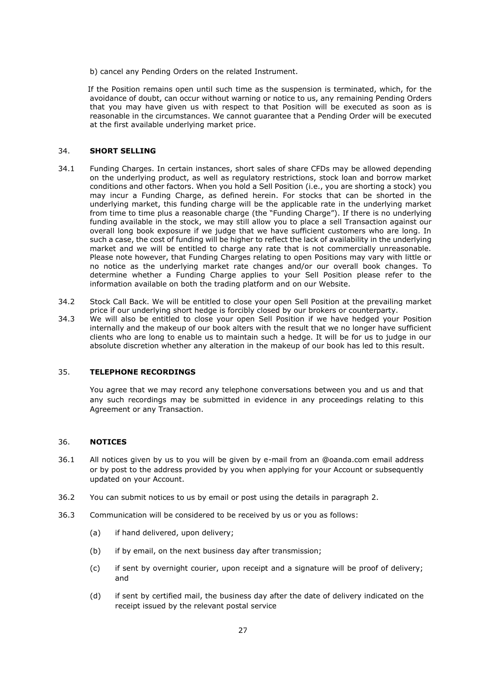b) cancel any Pending Orders on the related Instrument.

If the Position remains open until such time as the suspension is terminated, which, for the avoidance of doubt, can occur without warning or notice to us, any remaining Pending Orders that you may have given us with respect to that Position will be executed as soon as is reasonable in the circumstances. We cannot guarantee that a Pending Order will be executed at the first available underlying market price.

#### 34. **SHORT SELLING**

- 34.1 Funding Charges. In certain instances, short sales of share CFDs may be allowed depending on the underlying product, as well as regulatory restrictions, stock loan and borrow market conditions and other factors. When you hold a Sell Position (i.e., you are shorting a stock) you may incur a Funding Charge, as defined herein. For stocks that can be shorted in the underlying market, this funding charge will be the applicable rate in the underlying market from time to time plus a reasonable charge (the "Funding Charge"). If there is no underlying funding available in the stock, we may still allow you to place a sell Transaction against our overall long book exposure if we judge that we have sufficient customers who are long. In such a case, the cost of funding will be higher to reflect the lack of availability in the underlying market and we will be entitled to charge any rate that is not commercially unreasonable. Please note however, that Funding Charges relating to open Positions may vary with little or no notice as the underlying market rate changes and/or our overall book changes. To determine whether a Funding Charge applies to your Sell Position please refer to the information available on both the trading platform and on our Website.
- 34.2 Stock Call Back. We will be entitled to close your open Sell Position at the prevailing market price if our underlying short hedge is forcibly closed by our brokers or counterparty.
- 34.3 We will also be entitled to close your open Sell Position if we have hedged your Position internally and the makeup of our book alters with the result that we no longer have sufficient clients who are long to enable us to maintain such a hedge. It will be for us to judge in our absolute discretion whether any alteration in the makeup of our book has led to this result.

## 35. **TELEPHONE RECORDINGS**

You agree that we may record any telephone conversations between you and us and that any such recordings may be submitted in evidence in any proceedings relating to this Agreement or any Transaction.

#### 36. **NOTICES**

- 36.1 All notices given by us to you will be given by e-mail from an @oanda.com email address or by post to the address provided by you when applying for your Account or subsequently updated on your Account.
- 36.2 You can submit notices to us by email or post using the details in paragraph [2.](#page-1-0)
- <span id="page-26-0"></span>36.3 Communication will be considered to be received by us or you as follows:
	- (a) if hand delivered, upon delivery;
	- (b) if by email, on the next business day after transmission;
	- (c) if sent by overnight courier, upon receipt and a signature will be proof of delivery; and
	- (d) if sent by certified mail, the business day after the date of delivery indicated on the receipt issued by the relevant postal service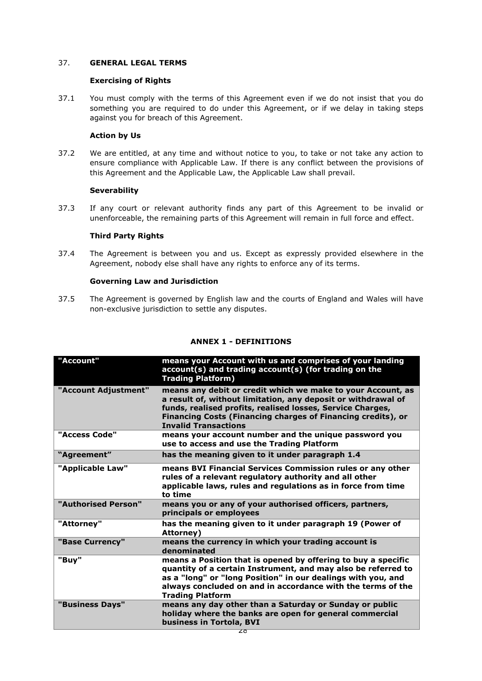# 37. **GENERAL LEGAL TERMS**

## **Exercising of Rights**

37.1 You must comply with the terms of this Agreement even if we do not insist that you do something you are required to do under this Agreement, or if we delay in taking steps against you for breach of this Agreement.

### **Action by Us**

37.2 We are entitled, at any time and without notice to you, to take or not take any action to ensure compliance with Applicable Law. If there is any conflict between the provisions of this Agreement and the Applicable Law, the Applicable Law shall prevail.

### **Severability**

37.3 If any court or relevant authority finds any part of this Agreement to be invalid or unenforceable, the remaining parts of this Agreement will remain in full force and effect.

## **Third Party Rights**

37.4 The Agreement is between you and us. Except as expressly provided elsewhere in the Agreement, nobody else shall have any rights to enforce any of its terms.

### **Governing Law and Jurisdiction**

37.5 The Agreement is governed by English law and the courts of England and Wales will have non-exclusive jurisdiction to settle any disputes.

| "Account"            | means your Account with us and comprises of your landing<br>account(s) and trading account(s) (for trading on the<br><b>Trading Platform)</b>                                                                                                                                             |
|----------------------|-------------------------------------------------------------------------------------------------------------------------------------------------------------------------------------------------------------------------------------------------------------------------------------------|
| "Account Adjustment" | means any debit or credit which we make to your Account, as<br>a result of, without limitation, any deposit or withdrawal of<br>funds, realised profits, realised losses, Service Charges,<br>Financing Costs (Financing charges of Financing credits), or<br><b>Invalid Transactions</b> |
| "Access Code"        | means your account number and the unique password you<br>use to access and use the Trading Platform                                                                                                                                                                                       |
| "Agreement"          | has the meaning given to it under paragraph 1.4                                                                                                                                                                                                                                           |
| "Applicable Law"     | means BVI Financial Services Commission rules or any other<br>rules of a relevant regulatory authority and all other<br>applicable laws, rules and regulations as in force from time<br>to time                                                                                           |
| "Authorised Person"  | means you or any of your authorised officers, partners,<br>principals or employees                                                                                                                                                                                                        |
| "Attorney"           | has the meaning given to it under paragraph 19 (Power of<br>Attorney)                                                                                                                                                                                                                     |
| "Base Currency"      | means the currency in which your trading account is<br>denominated                                                                                                                                                                                                                        |
| "Buy"                | means a Position that is opened by offering to buy a specific<br>quantity of a certain Instrument, and may also be referred to<br>as a "long" or "long Position" in our dealings with you, and<br>always concluded on and in accordance with the terms of the<br><b>Trading Platform</b>  |
| "Business Days"      | means any day other than a Saturday or Sunday or public<br>holiday where the banks are open for general commercial<br>business in Tortola, BVI                                                                                                                                            |

### **ANNEX 1 - DEFINITIONS**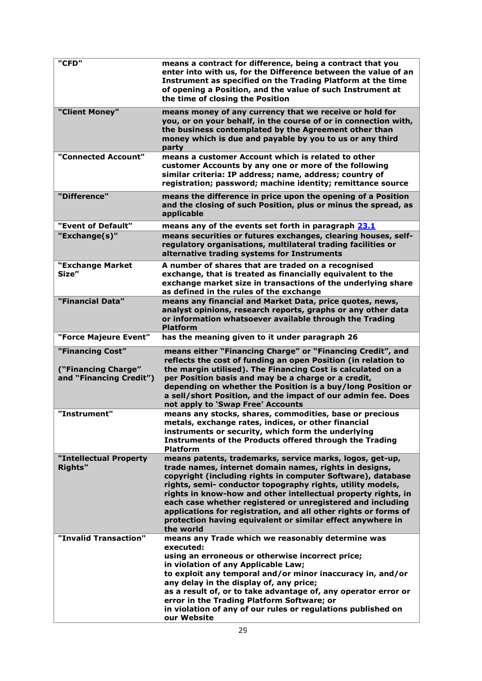| "CFD"                                                              | means a contract for difference, being a contract that you<br>enter into with us, for the Difference between the value of an<br>Instrument as specified on the Trading Platform at the time<br>of opening a Position, and the value of such Instrument at<br>the time of closing the Position                                                                                                                                                                                                                                |
|--------------------------------------------------------------------|------------------------------------------------------------------------------------------------------------------------------------------------------------------------------------------------------------------------------------------------------------------------------------------------------------------------------------------------------------------------------------------------------------------------------------------------------------------------------------------------------------------------------|
| "Client Money"                                                     | means money of any currency that we receive or hold for<br>you, or on your behalf, in the course of or in connection with,<br>the business contemplated by the Agreement other than<br>money which is due and payable by you to us or any third<br>party                                                                                                                                                                                                                                                                     |
| "Connected Account"                                                | means a customer Account which is related to other<br>customer Accounts by any one or more of the following<br>similar criteria: IP address; name, address; country of<br>registration; password; machine identity; remittance source                                                                                                                                                                                                                                                                                        |
| "Difference"                                                       | means the difference in price upon the opening of a Position<br>and the closing of such Position, plus or minus the spread, as<br>applicable                                                                                                                                                                                                                                                                                                                                                                                 |
| "Event of Default"                                                 | means any of the events set forth in paragraph 23.1                                                                                                                                                                                                                                                                                                                                                                                                                                                                          |
| "Exchange(s)"                                                      | means securities or futures exchanges, clearing houses, self-<br>regulatory organisations, multilateral trading facilities or<br>alternative trading systems for Instruments                                                                                                                                                                                                                                                                                                                                                 |
| "Exchange Market<br>Size"                                          | A number of shares that are traded on a recognised<br>exchange, that is treated as financially equivalent to the<br>exchange market size in transactions of the underlying share<br>as defined in the rules of the exchange                                                                                                                                                                                                                                                                                                  |
| "Financial Data"                                                   | means any financial and Market Data, price quotes, news,<br>analyst opinions, research reports, graphs or any other data<br>or information whatsoever available through the Trading<br><b>Platform</b>                                                                                                                                                                                                                                                                                                                       |
| "Force Majeure Event"                                              | has the meaning given to it under paragraph 26                                                                                                                                                                                                                                                                                                                                                                                                                                                                               |
| "Financing Cost"<br>("Financing Charge"<br>and "Financing Credit") | means either "Financing Charge" or "Financing Credit", and<br>reflects the cost of funding an open Position (in relation to<br>the margin utilised). The Financing Cost is calculated on a<br>per Position basis and may be a charge or a credit,<br>depending on whether the Position is a buy/long Position or<br>a sell/short Position, and the impact of our admin fee. Does<br>not apply to 'Swap Free' Accounts                                                                                                        |
| "Instrument"                                                       | means any stocks, shares, commodities, base or precious<br>metals, exchange rates, indices, or other financial<br>instruments or security, which form the underlying<br>Instruments of the Products offered through the Trading<br><b>Platform</b>                                                                                                                                                                                                                                                                           |
| "Intellectual Property<br><b>Rights"</b>                           | means patents, trademarks, service marks, logos, get-up,<br>trade names, internet domain names, rights in designs,<br>copyright (including rights in computer Software), database<br>rights, semi- conductor topography rights, utility models,<br>rights in know-how and other intellectual property rights, in<br>each case whether registered or unregistered and including<br>applications for registration, and all other rights or forms of<br>protection having equivalent or similar effect anywhere in<br>the world |
| "Invalid Transaction"                                              | means any Trade which we reasonably determine was<br>executed:<br>using an erroneous or otherwise incorrect price;<br>in violation of any Applicable Law;<br>to exploit any temporal and/or minor inaccuracy in, and/or<br>any delay in the display of, any price;<br>as a result of, or to take advantage of, any operator error or<br>error in the Trading Platform Software; or<br>in violation of any of our rules or regulations published on<br>our Website                                                            |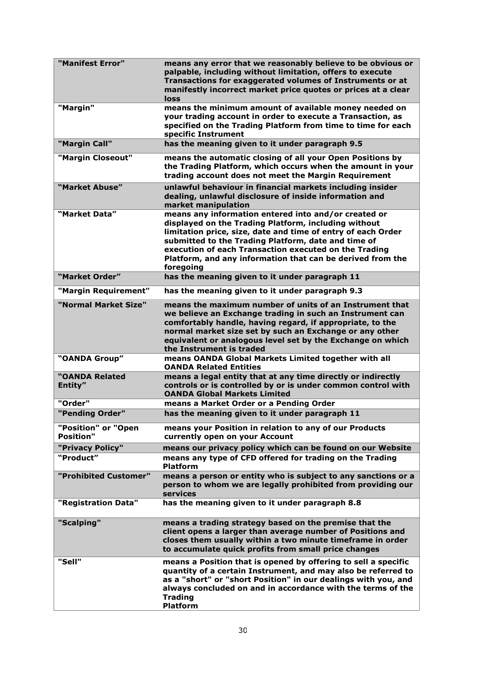| "Manifest Error"                        | means any error that we reasonably believe to be obvious or<br>palpable, including without limitation, offers to execute<br>Transactions for exaggerated volumes of Instruments or at<br>manifestly incorrect market price quotes or prices at a clear<br>loss                                                                                                          |
|-----------------------------------------|-------------------------------------------------------------------------------------------------------------------------------------------------------------------------------------------------------------------------------------------------------------------------------------------------------------------------------------------------------------------------|
| "Margin"                                | means the minimum amount of available money needed on<br>your trading account in order to execute a Transaction, as<br>specified on the Trading Platform from time to time for each<br>specific Instrument                                                                                                                                                              |
| "Margin Call"                           | has the meaning given to it under paragraph 9.5                                                                                                                                                                                                                                                                                                                         |
| "Margin Closeout"                       | means the automatic closing of all your Open Positions by<br>the Trading Platform, which occurs when the amount in your<br>trading account does not meet the Margin Requirement                                                                                                                                                                                         |
| "Market Abuse"                          | unlawful behaviour in financial markets including insider<br>dealing, unlawful disclosure of inside information and<br>market manipulation                                                                                                                                                                                                                              |
| "Market Data"                           | means any information entered into and/or created or<br>displayed on the Trading Platform, including without<br>limitation price, size, date and time of entry of each Order<br>submitted to the Trading Platform, date and time of<br>execution of each Transaction executed on the Trading<br>Platform, and any information that can be derived from the<br>foregoing |
| "Market Order"                          | has the meaning given to it under paragraph 11                                                                                                                                                                                                                                                                                                                          |
| "Margin Requirement"                    | has the meaning given to it under paragraph 9.3                                                                                                                                                                                                                                                                                                                         |
| "Normal Market Size"                    | means the maximum number of units of an Instrument that<br>we believe an Exchange trading in such an Instrument can<br>comfortably handle, having regard, if appropriate, to the<br>normal market size set by such an Exchange or any other<br>equivalent or analogous level set by the Exchange on which<br>the Instrument is traded                                   |
| "OANDA Group"                           | means OANDA Global Markets Limited together with all<br><b>OANDA Related Entities</b>                                                                                                                                                                                                                                                                                   |
| "OANDA Related<br>Entity"               | means a legal entity that at any time directly or indirectly<br>controls or is controlled by or is under common control with<br><b>OANDA Global Markets Limited</b>                                                                                                                                                                                                     |
| "Order"                                 | means a Market Order or a Pending Order                                                                                                                                                                                                                                                                                                                                 |
| "Pending Order"                         | has the meaning given to it under paragraph 11                                                                                                                                                                                                                                                                                                                          |
| "Position" or "Open<br><b>Position"</b> | means your Position in relation to any of our Products<br>currently open on your Account                                                                                                                                                                                                                                                                                |
| "Privacy Policy"                        | means our privacy policy which can be found on our Website                                                                                                                                                                                                                                                                                                              |
| "Product"                               | means any type of CFD offered for trading on the Trading<br><b>Platform</b>                                                                                                                                                                                                                                                                                             |
| "Prohibited Customer"                   | means a person or entity who is subject to any sanctions or a<br>person to whom we are legally prohibited from providing our<br>services                                                                                                                                                                                                                                |
| "Registration Data"                     | has the meaning given to it under paragraph 8.8                                                                                                                                                                                                                                                                                                                         |
| "Scalping"                              | means a trading strategy based on the premise that the<br>client opens a larger than average number of Positions and<br>closes them usually within a two minute timeframe in order<br>to accumulate quick profits from small price changes                                                                                                                              |
| "Sell"                                  | means a Position that is opened by offering to sell a specific<br>quantity of a certain Instrument, and may also be referred to<br>as a "short" or "short Position" in our dealings with you, and<br>always concluded on and in accordance with the terms of the<br><b>Trading</b><br><b>Platform</b>                                                                   |